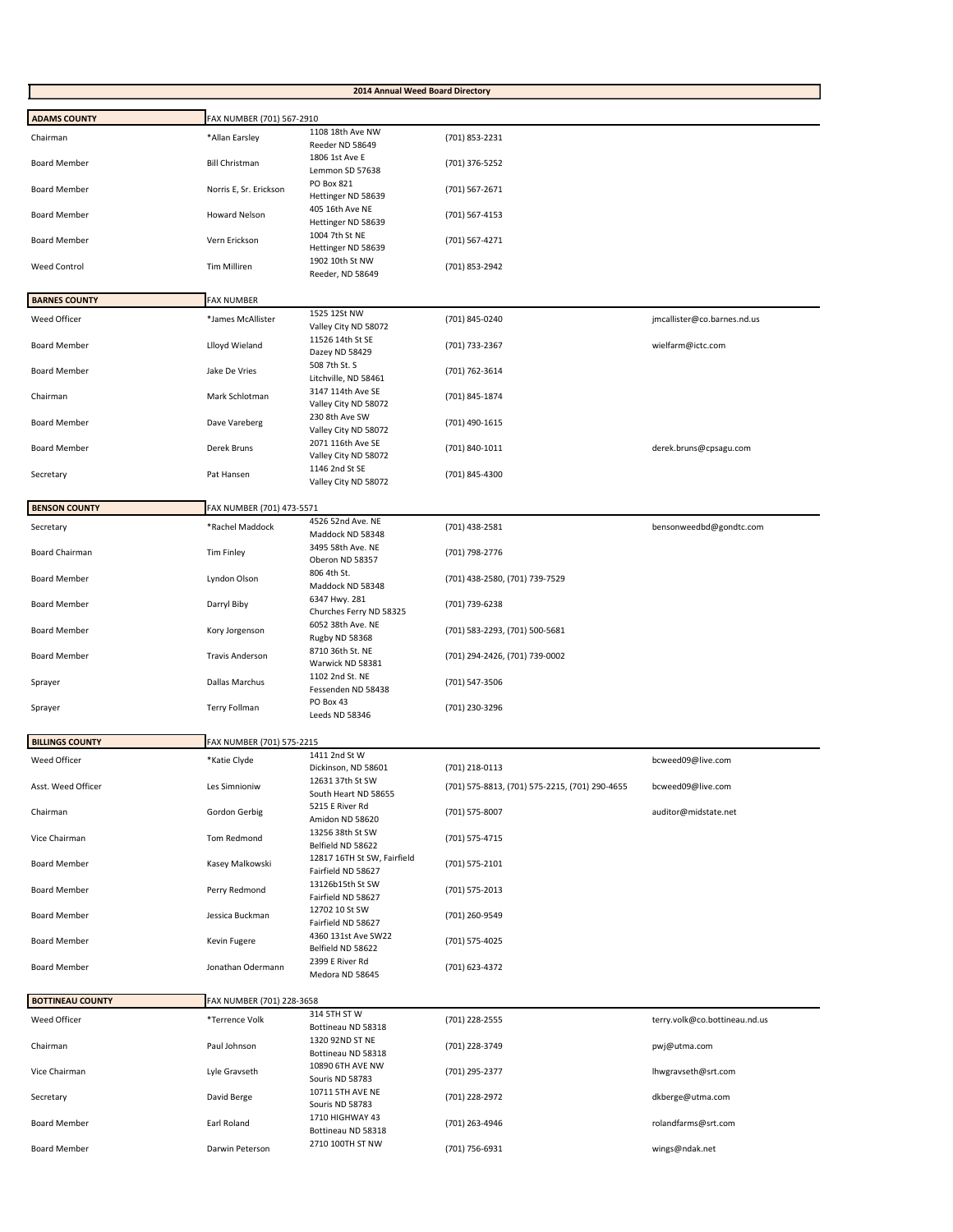| 2014 Annual Weed Board Directory |                           |                                                  |                                                                  |                               |
|----------------------------------|---------------------------|--------------------------------------------------|------------------------------------------------------------------|-------------------------------|
| <b>ADAMS COUNTY</b>              | FAX NUMBER (701) 567-2910 |                                                  |                                                                  |                               |
| Chairman                         | *Allan Earsley            | 1108 18th Ave NW                                 | (701) 853-2231                                                   |                               |
| <b>Board Member</b>              | <b>Bill Christman</b>     | Reeder ND 58649<br>1806 1st Ave E                | (701) 376-5252                                                   |                               |
| <b>Board Member</b>              | Norris E, Sr. Erickson    | Lemmon SD 57638<br>PO Box 821                    | (701) 567-2671                                                   |                               |
| <b>Board Member</b>              | <b>Howard Nelson</b>      | Hettinger ND 58639<br>405 16th Ave NE            |                                                                  |                               |
|                                  |                           | Hettinger ND 58639<br>1004 7th St NE             | (701) 567-4153                                                   |                               |
| <b>Board Member</b>              | Vern Erickson             | Hettinger ND 58639                               | (701) 567-4271                                                   |                               |
| <b>Weed Control</b>              | <b>Tim Milliren</b>       | 1902 10th St NW<br>Reeder, ND 58649              | (701) 853-2942                                                   |                               |
| <b>BARNES COUNTY</b>             | <b>FAX NUMBER</b>         |                                                  |                                                                  |                               |
| Weed Officer                     | *James McAllister         | 1525 12St NW<br>Valley City ND 58072             | (701) 845-0240                                                   | jmcallister@co.barnes.nd.us   |
| <b>Board Member</b>              | Llloyd Wieland            | 11526 14th St SE<br>Dazey ND 58429               | (701) 733-2367                                                   | wielfarm@ictc.com             |
| <b>Board Member</b>              | Jake De Vries             | 508 7th St. S<br>Litchville, ND 58461            | (701) 762-3614                                                   |                               |
| Chairman                         | Mark Schlotman            | 3147 114th Ave SE                                | (701) 845-1874                                                   |                               |
| <b>Board Member</b>              | Dave Vareberg             | Valley City ND 58072<br>230 8th Ave SW           | (701) 490-1615                                                   |                               |
|                                  |                           | Valley City ND 58072<br>2071 116th Ave SE        |                                                                  |                               |
| <b>Board Member</b>              | Derek Bruns               | Valley City ND 58072<br>1146 2nd St SE           | (701) 840-1011                                                   | derek.bruns@cpsagu.com        |
| Secretary                        | Pat Hansen                | Valley City ND 58072                             | (701) 845-4300                                                   |                               |
| <b>BENSON COUNTY</b>             | FAX NUMBER (701) 473-5571 |                                                  |                                                                  |                               |
| Secretary                        | *Rachel Maddock           | 4526 52nd Ave. NE<br>Maddock ND 58348            | (701) 438-2581                                                   | bensonweedbd@gondtc.com       |
| Board Chairman                   | Tim Finley                | 3495 58th Ave. NE<br>Oberon ND 58357             | (701) 798-2776                                                   |                               |
| <b>Board Member</b>              | Lyndon Olson              | 806 4th St.<br>Maddock ND 58348                  | (701) 438-2580, (701) 739-7529                                   |                               |
| <b>Board Member</b>              | Darryl Biby               | 6347 Hwy. 281<br>Churches Ferry ND 58325         | (701) 739-6238                                                   |                               |
| <b>Board Member</b>              | Kory Jorgenson            | 6052 38th Ave. NE<br>Rugby ND 58368              | (701) 583-2293, (701) 500-5681                                   |                               |
| <b>Board Member</b>              | <b>Travis Anderson</b>    | 8710 36th St. NE<br>Warwick ND 58381             | (701) 294-2426, (701) 739-0002                                   |                               |
| Sprayer                          | Dallas Marchus            | 1102 2nd St. NE<br>Fessenden ND 58438            | (701) 547-3506                                                   |                               |
| Sprayer                          | Terry Follman             | PO Box 43<br>Leeds ND 58346                      | (701) 230-3296                                                   |                               |
| <b>BILLINGS COUNTY</b>           | FAX NUMBER (701) 575-2215 |                                                  |                                                                  |                               |
| Weed Officer                     | *Katie Clyde              | 1411 2nd St W                                    |                                                                  | bcweed09@live.com             |
| Asst. Weed Officer               | Les Simnioniw             | Dickinson, ND 58601<br>12631 37th St SW          | (701) 218-0113<br>(701) 575-8813, (701) 575-2215, (701) 290-4655 | bcweed09@live.com             |
| Chairman                         | Gordon Gerbig             | South Heart ND 58655<br>5215 E River Rd          | (701) 575-8007                                                   | auditor@midstate.net          |
| Vice Chairman                    | Tom Redmond               | Amidon ND 58620<br>13256 38th St SW              | (701) 575-4715                                                   |                               |
|                                  |                           | Belfield ND 58622<br>12817 16TH St SW, Fairfield |                                                                  |                               |
| <b>Board Member</b>              | Kasey Malkowski           | Fairfield ND 58627<br>13126b15th St SW           | (701) 575-2101                                                   |                               |
| <b>Board Member</b>              | Perry Redmond             | Fairfield ND 58627                               | (701) 575-2013                                                   |                               |
| <b>Board Member</b>              | Jessica Buckman           | 12702 10 St SW<br>Fairfield ND 58627             | (701) 260-9549                                                   |                               |
| <b>Board Member</b>              | Kevin Fugere              | 4360 131st Ave SW22<br>Belfield ND 58622         | (701) 575-4025                                                   |                               |
| <b>Board Member</b>              | Jonathan Odermann         | 2399 E River Rd<br>Medora ND 58645               | (701) 623-4372                                                   |                               |
| <b>BOTTINEAU COUNTY</b>          | FAX NUMBER (701) 228-3658 |                                                  |                                                                  |                               |
| Weed Officer                     | *Terrence Volk            | 314 5TH ST W<br>Bottineau ND 58318               | (701) 228-2555                                                   | terry.volk@co.bottineau.nd.us |
| Chairman                         | Paul Johnson              | 1320 92ND ST NE<br>Bottineau ND 58318            | (701) 228-3749                                                   | pwj@utma.com                  |
| Vice Chairman                    | Lyle Gravseth             | 10890 6TH AVE NW<br>Souris ND 58783              | (701) 295-2377                                                   | Ihwgravseth@srt.com           |
| Secretary                        | David Berge               | 10711 5TH AVE NE<br>Souris ND 58783              | (701) 228-2972                                                   | dkberge@utma.com              |
| <b>Board Member</b>              | Earl Roland               | 1710 HIGHWAY 43<br>Bottineau ND 58318            | (701) 263-4946                                                   | rolandfarms@srt.com           |
| <b>Board Member</b>              | Darwin Peterson           | 2710 100TH ST NW                                 | (701) 756-6931                                                   | wings@ndak.net                |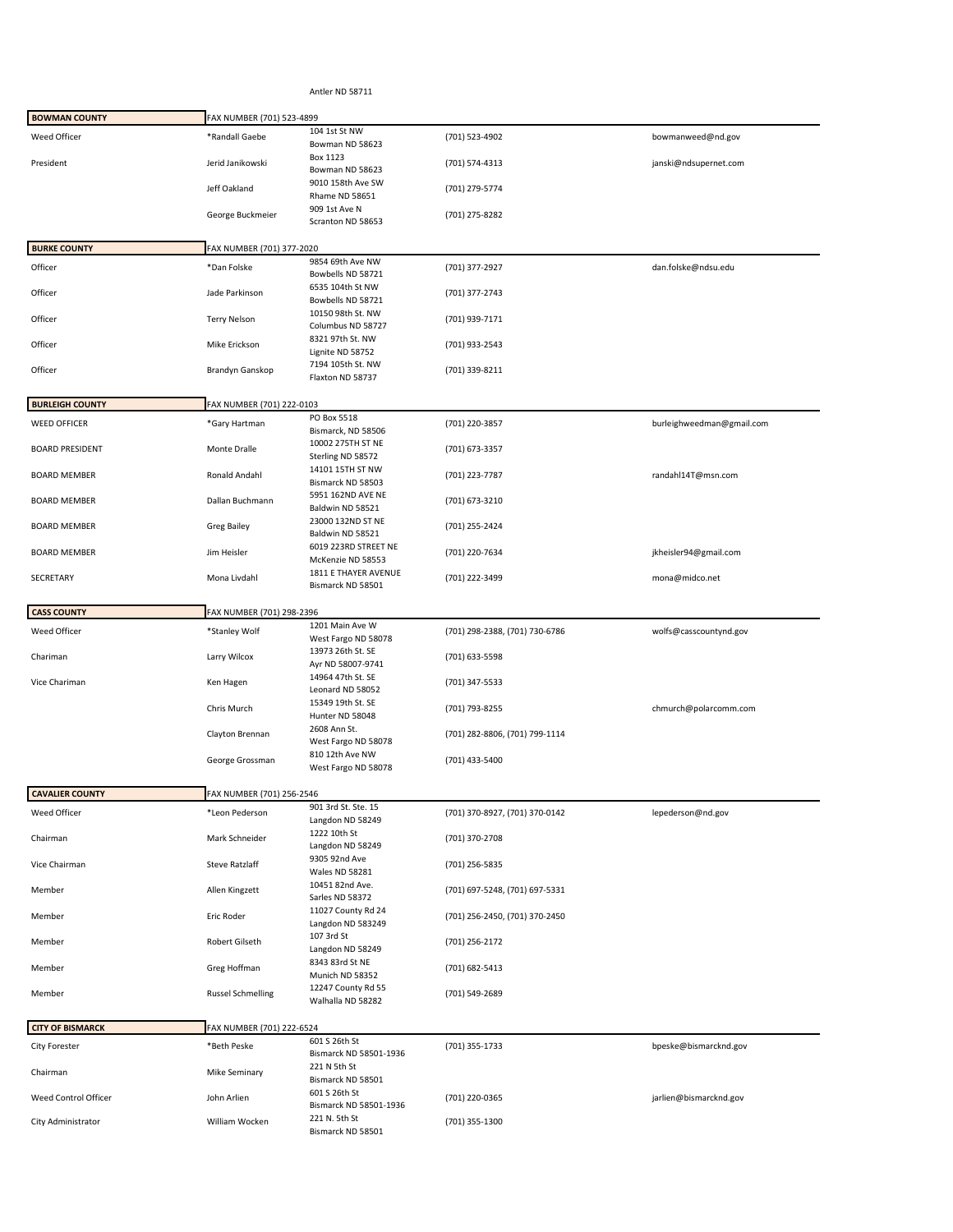Antler ND 58711

| <b>BOWMAN COUNTY</b>    | FAX NUMBER (701) 523-4899 |                                           |                                |                           |
|-------------------------|---------------------------|-------------------------------------------|--------------------------------|---------------------------|
| Weed Officer            | *Randall Gaebe            | 104 1st St NW<br>Bowman ND 58623          | (701) 523-4902                 | bowmanweed@nd.gov         |
| President               | Jerid Janikowski          | Box 1123<br>Bowman ND 58623               | (701) 574-4313                 | janski@ndsupernet.com     |
|                         | Jeff Oakland              | 9010 158th Ave SW<br>Rhame ND 58651       | (701) 279-5774                 |                           |
|                         | George Buckmeier          | 909 1st Ave N<br>Scranton ND 58653        | (701) 275-8282                 |                           |
| <b>BURKE COUNTY</b>     | FAX NUMBER (701) 377-2020 |                                           |                                |                           |
|                         |                           | 9854 69th Ave NW                          |                                |                           |
| Officer                 | *Dan Folske               | Bowbells ND 58721<br>6535 104th St NW     | (701) 377-2927                 | dan.folske@ndsu.edu       |
| Officer                 | Jade Parkinson            | Bowbells ND 58721                         | (701) 377-2743                 |                           |
| Officer                 | <b>Terry Nelson</b>       | 10150 98th St. NW<br>Columbus ND 58727    | (701) 939-7171                 |                           |
| Officer                 | Mike Erickson             | 8321 97th St. NW<br>Lignite ND 58752      | (701) 933-2543                 |                           |
| Officer                 | Brandyn Ganskop           | 7194 105th St. NW<br>Flaxton ND 58737     | (701) 339-8211                 |                           |
|                         |                           |                                           |                                |                           |
| <b>BURLEIGH COUNTY</b>  | FAX NUMBER (701) 222-0103 | PO Box 5518                               |                                |                           |
| <b>WEED OFFICER</b>     | *Gary Hartman             | Bismarck, ND 58506                        | (701) 220-3857                 | burleighweedman@gmail.com |
| <b>BOARD PRESIDENT</b>  | Monte Dralle              | 10002 275TH ST NE<br>Sterling ND 58572    | (701) 673-3357                 |                           |
| <b>BOARD MEMBER</b>     | Ronald Andahl             | 14101 15TH ST NW<br>Bismarck ND 58503     | (701) 223-7787                 | randahl14T@msn.com        |
| <b>BOARD MEMBER</b>     | Dallan Buchmann           | 5951 162ND AVE NE<br>Baldwin ND 58521     | (701) 673-3210                 |                           |
| <b>BOARD MEMBER</b>     | <b>Greg Bailey</b>        | 23000 132ND ST NE<br>Baldwin ND 58521     | (701) 255-2424                 |                           |
| <b>BOARD MEMBER</b>     | Jim Heisler               | 6019 223RD STREET NE<br>McKenzie ND 58553 | (701) 220-7634                 | jkheisler94@gmail.com     |
| SECRETARY               | Mona Livdahl              | 1811 E THAYER AVENUE<br>Bismarck ND 58501 | (701) 222-3499                 | mona@midco.net            |
| <b>CASS COUNTY</b>      | FAX NUMBER (701) 298-2396 |                                           |                                |                           |
| Weed Officer            | *Stanley Wolf             | 1201 Main Ave W<br>West Fargo ND 58078    | (701) 298-2388, (701) 730-6786 | wolfs@casscountynd.gov    |
| Chariman                | Larry Wilcox              | 13973 26th St. SE                         | (701) 633-5598                 |                           |
| Vice Chariman           | Ken Hagen                 | Ayr ND 58007-9741<br>14964 47th St. SE    | (701) 347-5533                 |                           |
|                         | Chris Murch               | Leonard ND 58052<br>15349 19th St. SE     | (701) 793-8255                 | chmurch@polarcomm.com     |
|                         | Clayton Brennan           | Hunter ND 58048<br>2608 Ann St.           | (701) 282-8806, (701) 799-1114 |                           |
|                         |                           | West Fargo ND 58078<br>810 12th Ave NW    |                                |                           |
|                         | George Grossman           | West Fargo ND 58078                       | (701) 433-5400                 |                           |
| <b>CAVALIER COUNTY</b>  | FAX NUMBER (701) 256-2546 |                                           |                                |                           |
| Weed Officer            | *Leon Pederson            | 901 3rd St. Ste. 15<br>Langdon ND 58249   | (701) 370-8927, (701) 370-0142 | lepederson@nd.gov         |
| Chairman                | Mark Schneider            | 1222 10th St<br>Langdon ND 58249          | (701) 370-2708                 |                           |
| Vice Chairman           | <b>Steve Ratzlaff</b>     | 9305 92nd Ave                             | (701) 256-5835                 |                           |
| Member                  | Allen Kingzett            | <b>Wales ND 58281</b><br>10451 82nd Ave.  | (701) 697-5248, (701) 697-5331 |                           |
| Member                  | Eric Roder                | Sarles ND 58372<br>11027 County Rd 24     | (701) 256-2450, (701) 370-2450 |                           |
| Member                  | Robert Gilseth            | Langdon ND 583249<br>107 3rd St           | (701) 256-2172                 |                           |
| Member                  | Greg Hoffman              | Langdon ND 58249<br>8343 83rd St NE       | (701) 682-5413                 |                           |
| Member                  | <b>Russel Schmelling</b>  | Munich ND 58352<br>12247 County Rd 55     | (701) 549-2689                 |                           |
|                         |                           | Walhalla ND 58282                         |                                |                           |
| <b>CITY OF BISMARCK</b> | FAX NUMBER (701) 222-6524 |                                           |                                |                           |
| <b>City Forester</b>    | *Beth Peske               | 601 S 26th St<br>Bismarck ND 58501-1936   | (701) 355-1733                 | bpeske@bismarcknd.gov     |
| Chairman                | Mike Seminary             | 221 N 5th St<br>Bismarck ND 58501         |                                |                           |
| Weed Control Officer    | John Arlien               | 601 S 26th St                             | (701) 220-0365                 | jarlien@bismarcknd.gov    |
| City Administrator      | William Wocken            | Bismarck ND 58501-1936<br>221 N. 5th St   | (701) 355-1300                 |                           |
|                         |                           | Bismarck ND 58501                         |                                |                           |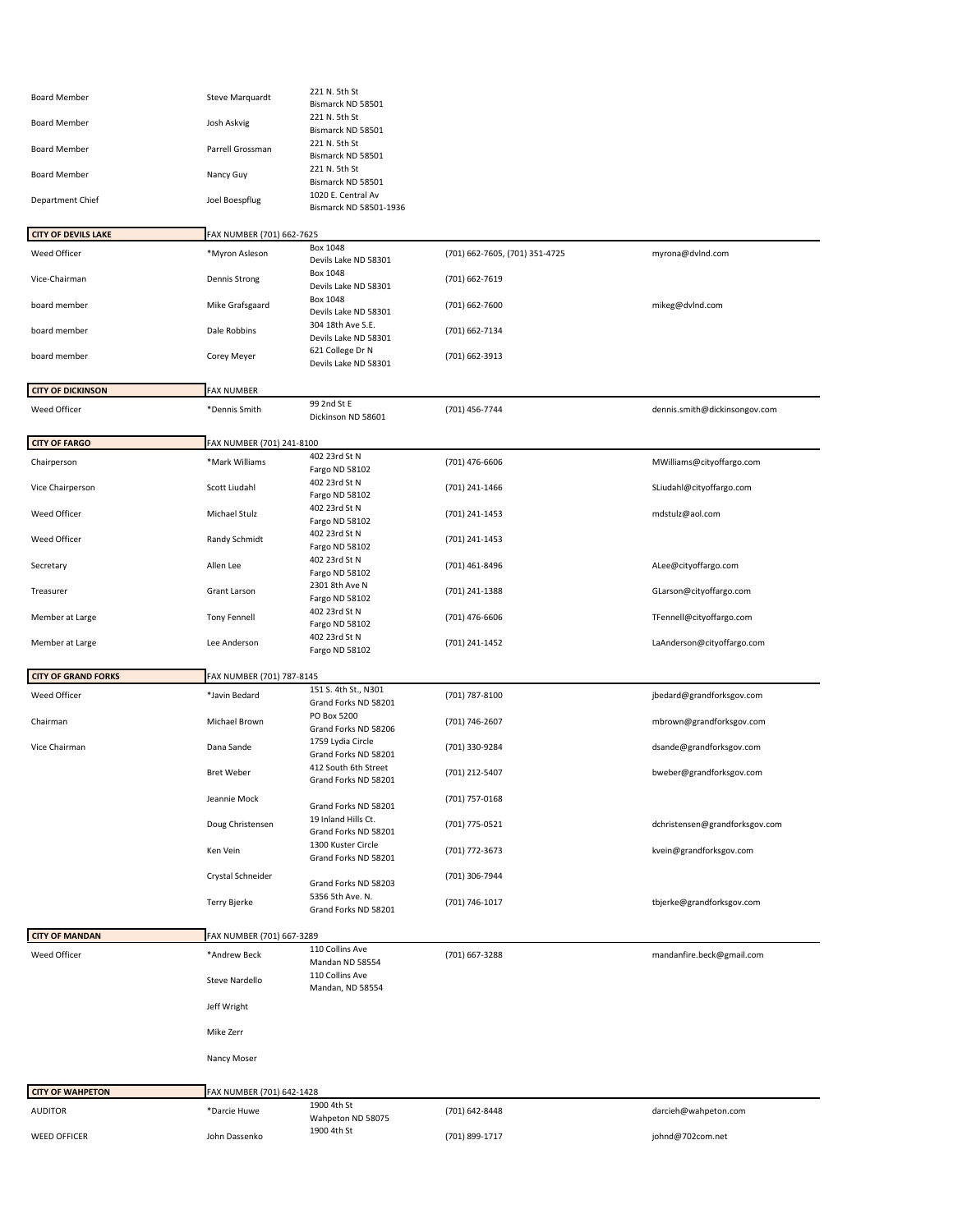| <b>Board Member</b>        | Steve Marquardt           | 221 N. 5th St                                |                                |                                |
|----------------------------|---------------------------|----------------------------------------------|--------------------------------|--------------------------------|
|                            |                           | Bismarck ND 58501<br>221 N. 5th St           |                                |                                |
| <b>Board Member</b>        | Josh Askvig               | Bismarck ND 58501                            |                                |                                |
| <b>Board Member</b>        | Parrell Grossman          | 221 N. 5th St<br>Bismarck ND 58501           |                                |                                |
| <b>Board Member</b>        | Nancy Guy                 | 221 N. 5th St<br>Bismarck ND 58501           |                                |                                |
| Department Chief           | Joel Boespflug            | 1020 E. Central Av<br>Bismarck ND 58501-1936 |                                |                                |
| <b>CITY OF DEVILS LAKE</b> | FAX NUMBER (701) 662-7625 |                                              |                                |                                |
| Weed Officer               | *Myron Asleson            | <b>Box 1048</b>                              | (701) 662-7605, (701) 351-4725 | myrona@dvlnd.com               |
| Vice-Chairman              | Dennis Strong             | Devils Lake ND 58301<br><b>Box 1048</b>      | (701) 662-7619                 |                                |
|                            |                           | Devils Lake ND 58301<br>Box 1048             |                                |                                |
| board member               | Mike Grafsgaard           | Devils Lake ND 58301                         | (701) 662-7600                 | mikeg@dvlnd.com                |
| board member               | Dale Robbins              | 304 18th Ave S.E.<br>Devils Lake ND 58301    | (701) 662-7134                 |                                |
| board member               | Corey Meyer               | 621 College Dr N<br>Devils Lake ND 58301     | (701) 662-3913                 |                                |
| <b>CITY OF DICKINSON</b>   | <b>FAX NUMBER</b>         |                                              |                                |                                |
| Weed Officer               | *Dennis Smith             | 99 2nd St E                                  | (701) 456-7744                 | dennis.smith@dickinsongov.com  |
|                            |                           | Dickinson ND 58601                           |                                |                                |
| <b>CITY OF FARGO</b>       | FAX NUMBER (701) 241-8100 |                                              |                                |                                |
| Chairperson                | *Mark Williams            | 402 23rd St N<br>Fargo ND 58102              | (701) 476-6606                 | MWilliams@cityoffargo.com      |
| Vice Chairperson           | Scott Liudahl             | 402 23rd St N<br>Fargo ND 58102              | (701) 241-1466                 | SLiudahl@cityoffargo.com       |
| Weed Officer               | Michael Stulz             | 402 23rd St N<br>Fargo ND 58102              | (701) 241-1453                 | mdstulz@aol.com                |
| Weed Officer               | Randy Schmidt             | 402 23rd St N<br>Fargo ND 58102              | (701) 241-1453                 |                                |
| Secretary                  | Allen Lee                 | 402 23rd St N<br>Fargo ND 58102              | (701) 461-8496                 | ALee@cityoffargo.com           |
| Treasurer                  | Grant Larson              | 2301 8th Ave N<br>Fargo ND 58102             | (701) 241-1388                 | GLarson@cityoffargo.com        |
| Member at Large            | <b>Tony Fennell</b>       | 402 23rd St N<br>Fargo ND 58102              | (701) 476-6606                 | TFennell@cityoffargo.com       |
| Member at Large            | Lee Anderson              | 402 23rd St N<br>Fargo ND 58102              | (701) 241-1452                 | LaAnderson@cityoffargo.com     |
|                            |                           |                                              |                                |                                |
| <b>CITY OF GRAND FORKS</b> | FAX NUMBER (701) 787-8145 | 151 S. 4th St., N301                         |                                |                                |
| Weed Officer               | *Javin Bedard             | Grand Forks ND 58201                         | (701) 787-8100                 | jbedard@grandforksgov.com      |
| Chairman                   | Michael Brown             | PO Box 5200<br>Grand Forks ND 58206          | (701) 746-2607                 | mbrown@grandforksgov.com       |
| Vice Chairman              | Dana Sande                | 1759 Lydia Circle<br>Grand Forks ND 58201    | (701) 330-9284                 | dsande@grandforksgov.com       |
|                            | <b>Bret Weber</b>         | 412 South 6th Street<br>Grand Forks ND 58201 | (701) 212-5407                 | bweber@grandforksgov.com       |
|                            | Jeannie Mock              | Grand Forks ND 58201                         | (701) 757-0168                 |                                |
|                            | Doug Christensen          | 19 Inland Hills Ct.                          | (701) 775-0521                 | dchristensen@grandforksgov.com |
|                            |                           | Grand Forks ND 58201<br>1300 Kuster Circle   |                                |                                |
|                            | Ken Vein                  | Grand Forks ND 58201                         | (701) 772-3673                 | kvein@grandforksgov.com        |
|                            | Crystal Schneider         | Grand Forks ND 58203                         | (701) 306-7944                 |                                |
|                            | Terry Bjerke              | 5356 5th Ave. N.<br>Grand Forks ND 58201     | (701) 746-1017                 | tbjerke@grandforksgov.com      |
|                            |                           |                                              |                                |                                |
| <b>CITY OF MANDAN</b>      | FAX NUMBER (701) 667-3289 | 110 Collins Ave                              |                                |                                |
| Weed Officer               | *Andrew Beck              | Mandan ND 58554<br>110 Collins Ave           | (701) 667-3288                 | mandanfire.beck@gmail.com      |
|                            | Steve Nardello            | Mandan, ND 58554                             |                                |                                |
|                            | Jeff Wright               |                                              |                                |                                |
|                            | Mike Zerr                 |                                              |                                |                                |
|                            | Nancy Moser               |                                              |                                |                                |
| <b>CITY OF WAHPETON</b>    | FAX NUMBER (701) 642-1428 |                                              |                                |                                |
| <b>AUDITOR</b>             |                           |                                              |                                |                                |
|                            | *Darcie Huwe              | 1900 4th St                                  | (701) 642-8448                 | darcieh@wahpeton.com           |
| <b>WEED OFFICER</b>        | John Dassenko             | Wahpeton ND 58075<br>1900 4th St             | (701) 899-1717                 | johnd@702com.net               |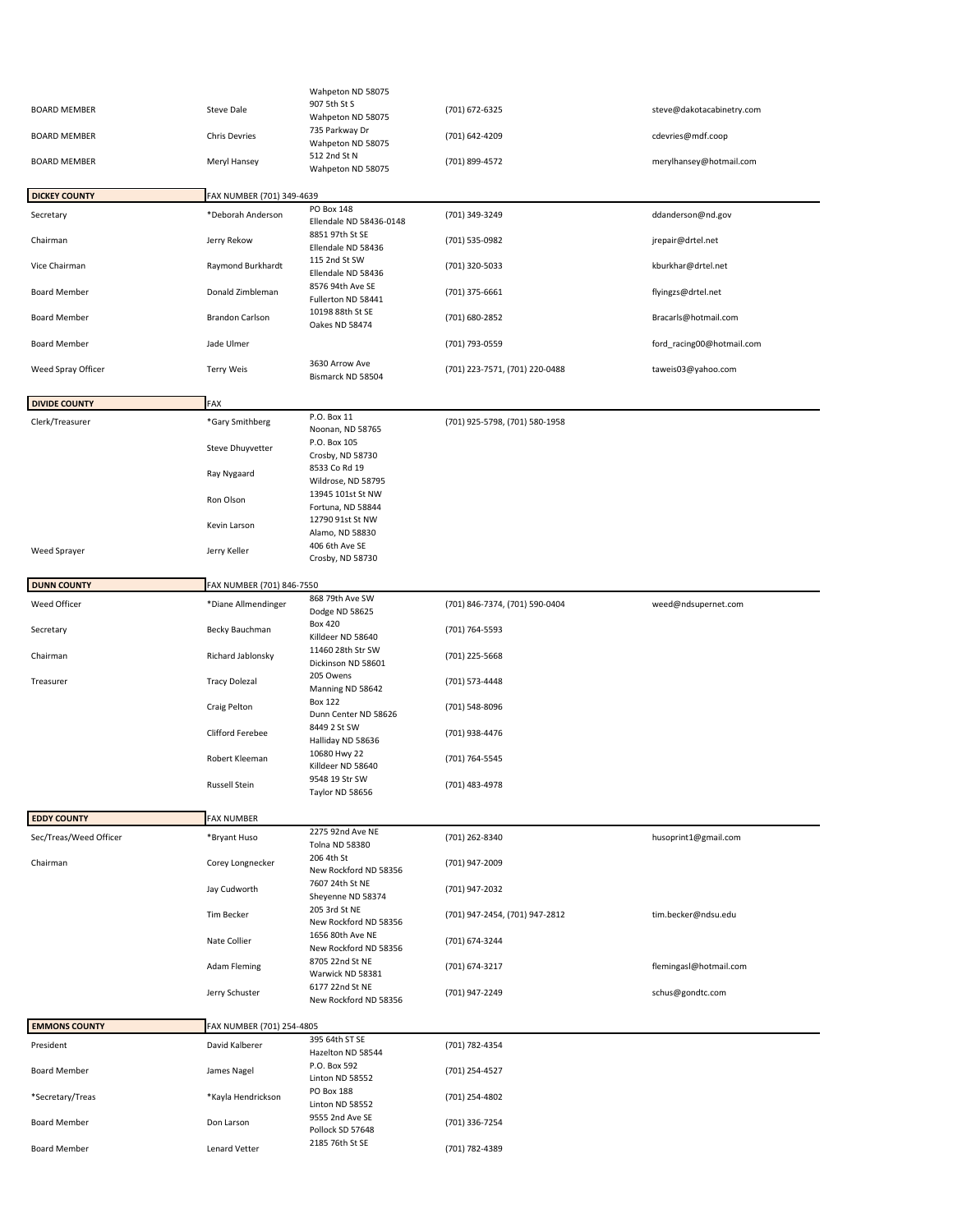|                        |                           | Wahpeton ND 58075                         |                                |                           |
|------------------------|---------------------------|-------------------------------------------|--------------------------------|---------------------------|
| <b>BOARD MEMBER</b>    | Steve Dale                | 907 5th St S                              | (701) 672-6325                 | steve@dakotacabinetry.com |
|                        |                           | Wahpeton ND 58075<br>735 Parkway Dr       |                                |                           |
| <b>BOARD MEMBER</b>    | <b>Chris Devries</b>      | Wahpeton ND 58075<br>512 2nd St N         | (701) 642-4209                 | cdevries@mdf.coop         |
| <b>BOARD MEMBER</b>    | Meryl Hansey              | Wahpeton ND 58075                         | (701) 899-4572                 | merylhansey@hotmail.com   |
| <b>DICKEY COUNTY</b>   | FAX NUMBER (701) 349-4639 |                                           |                                |                           |
| Secretary              | *Deborah Anderson         | PO Box 148                                | (701) 349-3249                 | ddanderson@nd.gov         |
|                        |                           | Ellendale ND 58436-0148                   |                                |                           |
| Chairman               | Jerry Rekow               | 8851 97th St SE<br>Ellendale ND 58436     | (701) 535-0982                 | jrepair@drtel.net         |
| Vice Chairman          | Raymond Burkhardt         | 115 2nd St SW<br>Ellendale ND 58436       | (701) 320-5033                 | kburkhar@drtel.net        |
| <b>Board Member</b>    | Donald Zimbleman          | 8576 94th Ave SE<br>Fullerton ND 58441    | (701) 375-6661                 | flyingzs@drtel.net        |
| <b>Board Member</b>    | <b>Brandon Carlson</b>    | 10198 88th St SE<br>Oakes ND 58474        | (701) 680-2852                 | Bracarls@hotmail.com      |
| <b>Board Member</b>    | Jade Ulmer                |                                           | (701) 793-0559                 | ford_racing00@hotmail.com |
| Weed Spray Officer     | <b>Terry Weis</b>         | 3630 Arrow Ave<br>Bismarck ND 58504       | (701) 223-7571, (701) 220-0488 | taweis03@yahoo.com        |
| <b>DIVIDE COUNTY</b>   | FAX                       |                                           |                                |                           |
| Clerk/Treasurer        | *Gary Smithberg           | P.O. Box 11                               | (701) 925-5798, (701) 580-1958 |                           |
|                        |                           | Noonan, ND 58765                          |                                |                           |
|                        | <b>Steve Dhuyvetter</b>   | P.O. Box 105<br>Crosby, ND 58730          |                                |                           |
|                        |                           | 8533 Co Rd 19                             |                                |                           |
|                        | Ray Nygaard               | Wildrose, ND 58795                        |                                |                           |
|                        | Ron Olson                 | 13945 101st St NW                         |                                |                           |
|                        |                           | Fortuna, ND 58844<br>12790 91st St NW     |                                |                           |
|                        | Kevin Larson              | Alamo, ND 58830                           |                                |                           |
| <b>Weed Sprayer</b>    | Jerry Keller              | 406 6th Ave SE                            |                                |                           |
|                        |                           | Crosby, ND 58730                          |                                |                           |
| <b>DUNN COUNTY</b>     | FAX NUMBER (701) 846-7550 |                                           |                                |                           |
| Weed Officer           | *Diane Allmendinger       | 868 79th Ave SW                           | (701) 846-7374, (701) 590-0404 | weed@ndsupernet.com       |
|                        |                           | Dodge ND 58625                            |                                |                           |
| Secretary              | Becky Bauchman            | <b>Box 420</b><br>Killdeer ND 58640       | (701) 764-5593                 |                           |
| Chairman               | Richard Jablonsky         | 11460 28th Str SW<br>Dickinson ND 58601   | (701) 225-5668                 |                           |
| Treasurer              | <b>Tracy Dolezal</b>      | 205 Owens<br>Manning ND 58642             | (701) 573-4448                 |                           |
|                        | Craig Pelton              | <b>Box 122</b><br>Dunn Center ND 58626    | (701) 548-8096                 |                           |
|                        | Clifford Ferebee          | 8449 2 St SW<br>Halliday ND 58636         | (701) 938-4476                 |                           |
|                        | Robert Kleeman            | 10680 Hwy 22<br>Killdeer ND 58640         | (701) 764-5545                 |                           |
|                        | Russell Stein             | 9548 19 Str SW<br>Taylor ND 58656         | (701) 483-4978                 |                           |
|                        |                           |                                           |                                |                           |
| <b>EDDY COUNTY</b>     | <b>FAX NUMBER</b>         |                                           |                                |                           |
| Sec/Treas/Weed Officer | *Bryant Huso              | 2275 92nd Ave NE<br><b>Tolna ND 58380</b> | (701) 262-8340                 | husoprint1@gmail.com      |
| Chairman               | Corey Longnecker          | 206 4th St<br>New Rockford ND 58356       | (701) 947-2009                 |                           |
|                        | Jay Cudworth              | 7607 24th St NE<br>Sheyenne ND 58374      | (701) 947-2032                 |                           |
|                        | <b>Tim Becker</b>         | 205 3rd St NE<br>New Rockford ND 58356    | (701) 947-2454, (701) 947-2812 | tim.becker@ndsu.edu       |
|                        | Nate Collier              | 1656 80th Ave NE<br>New Rockford ND 58356 | (701) 674-3244                 |                           |
|                        | <b>Adam Fleming</b>       | 8705 22nd St NE<br>Warwick ND 58381       | (701) 674-3217                 | flemingasl@hotmail.com    |
|                        | Jerry Schuster            | 6177 22nd St NE<br>New Rockford ND 58356  | (701) 947-2249                 | schus@gondtc.com          |
|                        |                           |                                           |                                |                           |
| <b>EMMONS COUNTY</b>   | FAX NUMBER (701) 254-4805 | 395 64th ST SE                            |                                |                           |
| President              | David Kalberer            | Hazelton ND 58544<br>P.O. Box 592         | (701) 782-4354                 |                           |
| Board Member           | James Nagel               | Linton ND 58552                           | (701) 254-4527                 |                           |
| *Secretary/Treas       | *Kayla Hendrickson        | PO Box 188<br>Linton ND 58552             | (701) 254-4802                 |                           |
| Board Member           | Don Larson                | 9555 2nd Ave SE<br>Pollock SD 57648       | (701) 336-7254                 |                           |
| Board Member           | Lenard Vetter             | 2185 76th St SE                           | (701) 782-4389                 |                           |
|                        |                           |                                           |                                |                           |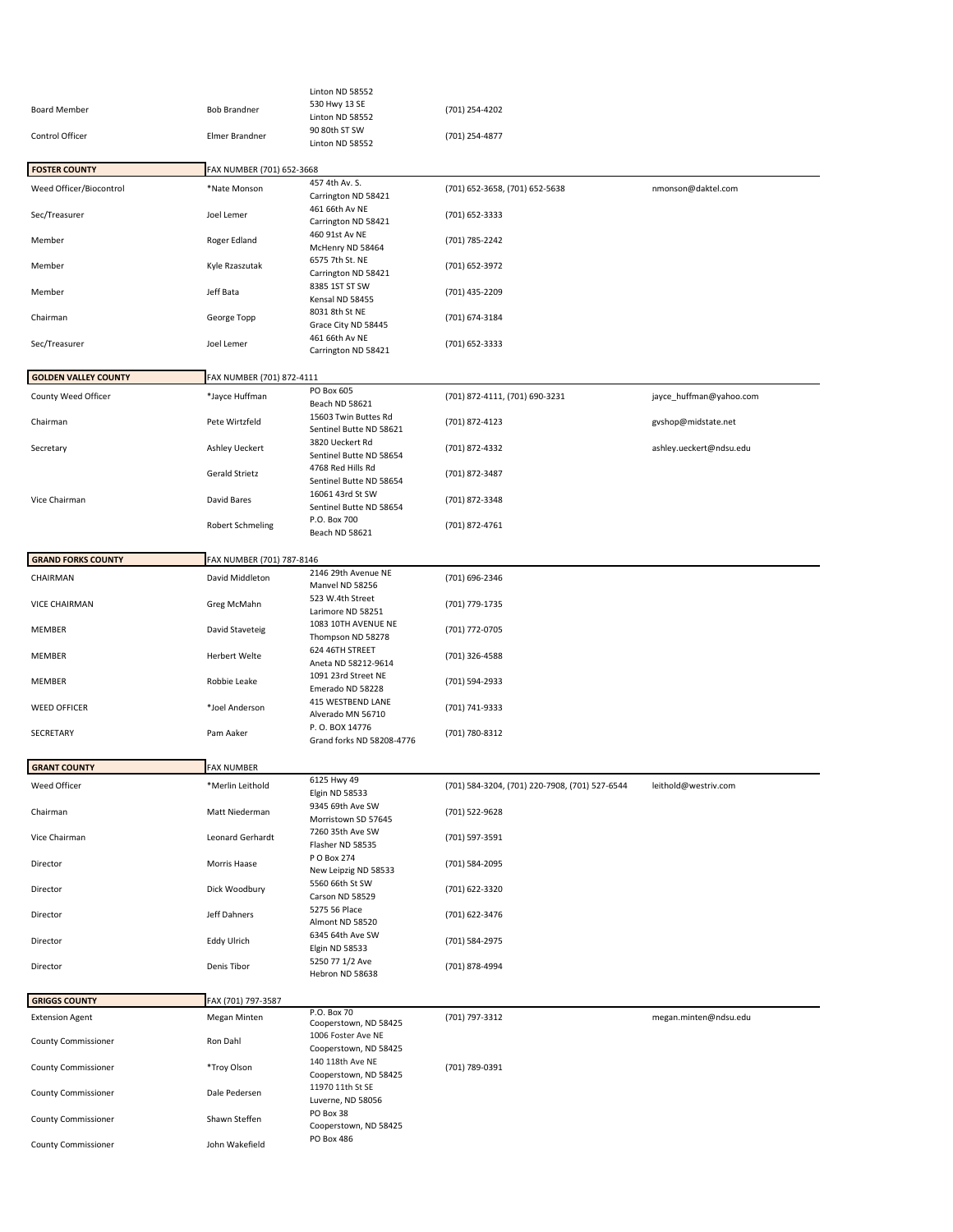|                             |                           | Linton ND 58552                                     |                                                |                         |
|-----------------------------|---------------------------|-----------------------------------------------------|------------------------------------------------|-------------------------|
| <b>Board Member</b>         | <b>Bob Brandner</b>       | 530 Hwy 13 SE                                       | (701) 254-4202                                 |                         |
|                             |                           | Linton ND 58552<br>90 80th ST SW                    |                                                |                         |
| Control Officer             | Elmer Brandner            | Linton ND 58552                                     | (701) 254-4877                                 |                         |
|                             |                           |                                                     |                                                |                         |
| <b>FOSTER COUNTY</b>        | FAX NUMBER (701) 652-3668 | 457 4th Av. S.                                      |                                                |                         |
| Weed Officer/Biocontrol     | *Nate Monson              | Carrington ND 58421                                 | (701) 652-3658, (701) 652-5638                 | nmonson@daktel.com      |
| Sec/Treasurer               | Joel Lemer                | 461 66th Av NE<br>Carrington ND 58421               | (701) 652-3333                                 |                         |
| Member                      | Roger Edland              | 460 91st Av NE<br>McHenry ND 58464                  | (701) 785-2242                                 |                         |
| Member                      | Kyle Rzaszutak            | 6575 7th St. NE<br>Carrington ND 58421              | (701) 652-3972                                 |                         |
| Member                      | Jeff Bata                 | 8385 1ST ST SW<br>Kensal ND 58455                   | (701) 435-2209                                 |                         |
| Chairman                    | George Topp               | 8031 8th St NE<br>Grace City ND 58445               | (701) 674-3184                                 |                         |
| Sec/Treasurer               | Joel Lemer                | 461 66th Av NE<br>Carrington ND 58421               | (701) 652-3333                                 |                         |
| <b>GOLDEN VALLEY COUNTY</b> | FAX NUMBER (701) 872-4111 |                                                     |                                                |                         |
| County Weed Officer         | *Jayce Huffman            | PO Box 605                                          | (701) 872-4111, (701) 690-3231                 | jayce huffman@yahoo.com |
| Chairman                    | Pete Wirtzfeld            | Beach ND 58621<br>15603 Twin Buttes Rd              | (701) 872-4123                                 | gvshop@midstate.net     |
|                             |                           | Sentinel Butte ND 58621<br>3820 Ueckert Rd          |                                                |                         |
| Secretary                   | Ashley Ueckert            | Sentinel Butte ND 58654                             | (701) 872-4332                                 | ashley.ueckert@ndsu.edu |
|                             | Gerald Strietz            | 4768 Red Hills Rd<br>Sentinel Butte ND 58654        | (701) 872-3487                                 |                         |
| Vice Chairman               | David Bares               | 16061 43rd St SW<br>Sentinel Butte ND 58654         | (701) 872-3348                                 |                         |
|                             | <b>Robert Schmeling</b>   | P.O. Box 700<br>Beach ND 58621                      | (701) 872-4761                                 |                         |
| <b>GRAND FORKS COUNTY</b>   | FAX NUMBER (701) 787-8146 |                                                     |                                                |                         |
| CHAIRMAN                    | David Middleton           | 2146 29th Avenue NE                                 | (701) 696-2346                                 |                         |
|                             |                           | Manvel ND 58256<br>523 W.4th Street                 |                                                |                         |
| <b>VICE CHAIRMAN</b>        | Greg McMahn               | Larimore ND 58251                                   | (701) 779-1735                                 |                         |
| MEMBER                      | David Staveteig           | 1083 10TH AVENUE NE<br>Thompson ND 58278            | (701) 772-0705                                 |                         |
| MEMBER                      | Herbert Welte             | 624 46TH STREET<br>Aneta ND 58212-9614              | (701) 326-4588                                 |                         |
| MEMBER                      | Robbie Leake              | 1091 23rd Street NE<br>Emerado ND 58228             | (701) 594-2933                                 |                         |
| <b>WEED OFFICER</b>         | *Joel Anderson            | 415 WESTBEND LANE<br>Alverado MN 56710              | (701) 741-9333                                 |                         |
| SECRETARY                   | Pam Aaker                 | P.O. BOX 14776<br>Grand forks ND 58208-4776         | (701) 780-8312                                 |                         |
| <b>GRANT COUNTY</b>         | <b>FAX NUMBER</b>         |                                                     |                                                |                         |
| Weed Officer                | *Merlin Leithold          | 6125 Hwy 49                                         | (701) 584-3204, (701) 220-7908, (701) 527-6544 | leithold@westriv.com    |
| Chairman                    | Matt Niederman            | <b>Elgin ND 58533</b><br>9345 69th Ave SW           | (701) 522-9628                                 |                         |
| Vice Chairman               | Leonard Gerhardt          | Morristown SD 57645<br>7260 35th Ave SW             | (701) 597-3591                                 |                         |
| Director                    | Morris Haase              | Flasher ND 58535<br>P O Box 274                     | (701) 584-2095                                 |                         |
| Director                    | Dick Woodbury             | New Leipzig ND 58533<br>5560 66th St SW             | (701) 622-3320                                 |                         |
| Director                    | Jeff Dahners              | Carson ND 58529<br>5275 56 Place<br>Almont ND 58520 | (701) 622-3476                                 |                         |
| Director                    | Eddy Ulrich               | 6345 64th Ave SW<br>Elgin ND 58533                  | (701) 584-2975                                 |                         |
| Director                    | Denis Tibor               | 5250 77 1/2 Ave<br>Hebron ND 58638                  | (701) 878-4994                                 |                         |
|                             |                           |                                                     |                                                |                         |
| <b>GRIGGS COUNTY</b>        | FAX (701) 797-3587        | P.O. Box 70                                         |                                                |                         |
| <b>Extension Agent</b>      | Megan Minten              | Cooperstown, ND 58425                               | (701) 797-3312                                 | megan.minten@ndsu.edu   |
| <b>County Commissioner</b>  | Ron Dahl                  | 1006 Foster Ave NE<br>Cooperstown, ND 58425         |                                                |                         |
| <b>County Commissioner</b>  | *Troy Olson               | 140 118th Ave NE<br>Cooperstown, ND 58425           | (701) 789-0391                                 |                         |
| <b>County Commissioner</b>  | Dale Pedersen             | 11970 11th St SE<br>Luverne, ND 58056               |                                                |                         |
| <b>County Commissioner</b>  | Shawn Steffen             | PO Box 38<br>Cooperstown, ND 58425                  |                                                |                         |
| <b>County Commissioner</b>  | John Wakefield            | PO Box 486                                          |                                                |                         |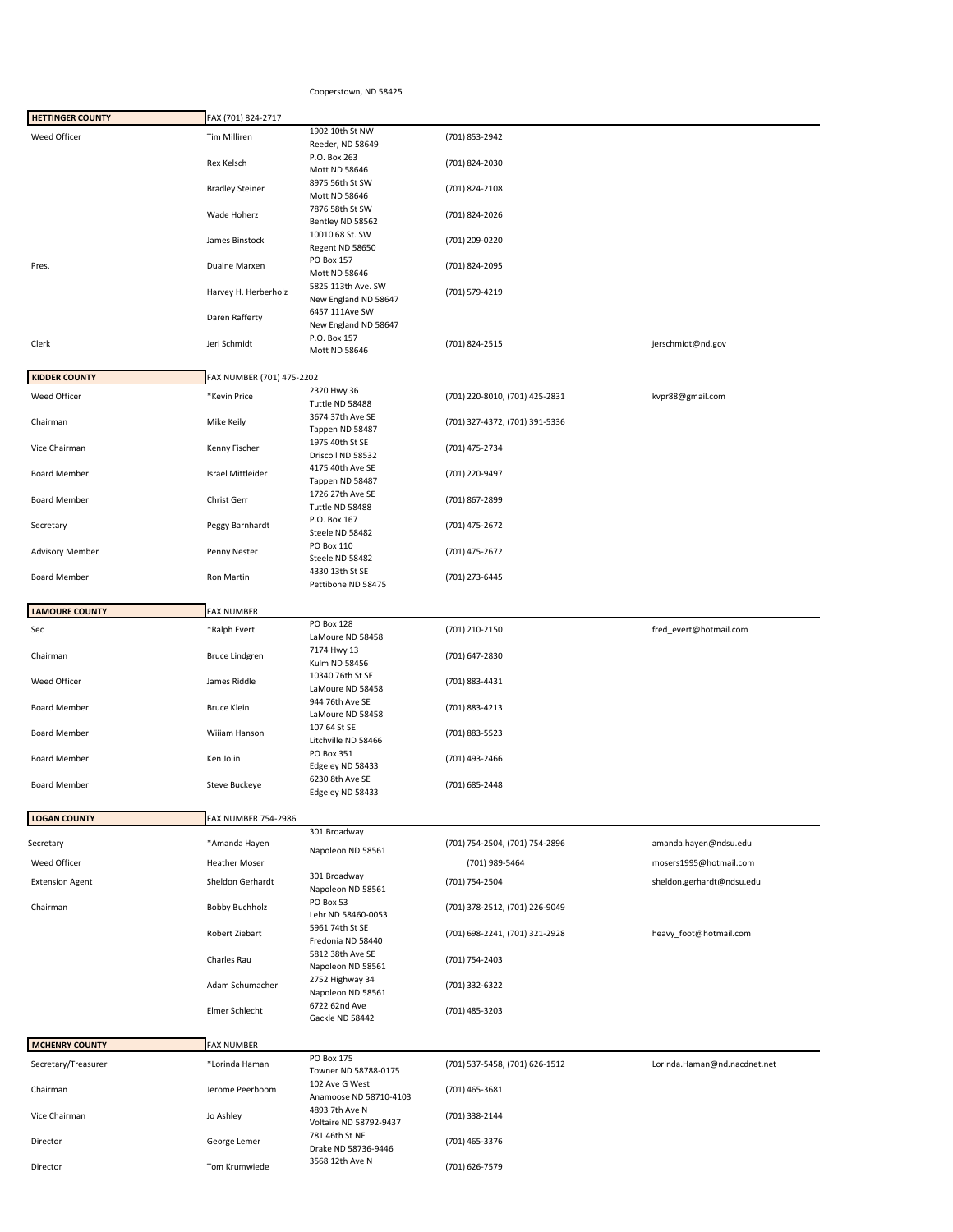## Cooperstown, ND 58425

| <b>HETTINGER COUNTY</b>         | FAX (701) 824-2717                |                                                            |                                                  |                              |
|---------------------------------|-----------------------------------|------------------------------------------------------------|--------------------------------------------------|------------------------------|
| Weed Officer                    | Tim Milliren                      | 1902 10th St NW                                            | (701) 853-2942                                   |                              |
|                                 | Rex Kelsch                        | Reeder, ND 58649<br>P.O. Box 263<br>Mott ND 58646          | (701) 824-2030                                   |                              |
|                                 | <b>Bradley Steiner</b>            | 8975 56th St SW<br>Mott ND 58646                           | (701) 824-2108                                   |                              |
|                                 | Wade Hoherz                       | 7876 58th St SW<br>Bentley ND 58562                        | (701) 824-2026                                   |                              |
|                                 | James Binstock                    | 10010 68 St. SW<br>Regent ND 58650                         | (701) 209-0220                                   |                              |
| Pres.                           | Duaine Marxen                     | PO Box 157<br>Mott ND 58646                                | (701) 824-2095                                   |                              |
|                                 | Harvey H. Herberholz              | 5825 113th Ave. SW<br>New England ND 58647                 | (701) 579-4219                                   |                              |
|                                 | Daren Rafferty                    | 6457 111Ave SW<br>New England ND 58647                     |                                                  |                              |
| Clerk                           | Jeri Schmidt                      | P.O. Box 157<br>Mott ND 58646                              | (701) 824-2515                                   | jerschmidt@nd.gov            |
| <b>KIDDER COUNTY</b>            | FAX NUMBER (701) 475-2202         |                                                            |                                                  |                              |
| Weed Officer                    | *Kevin Price                      | 2320 Hwy 36                                                | (701) 220-8010, (701) 425-2831                   | kvpr88@gmail.com             |
|                                 |                                   | Tuttle ND 58488<br>3674 37th Ave SE                        |                                                  |                              |
| Chairman                        | Mike Keily                        | Tappen ND 58487                                            | (701) 327-4372, (701) 391-5336                   |                              |
| Vice Chairman                   | Kenny Fischer                     | 1975 40th St SE<br>Driscoll ND 58532                       | (701) 475-2734                                   |                              |
| <b>Board Member</b>             | Israel Mittleider                 | 4175 40th Ave SE                                           | (701) 220-9497                                   |                              |
|                                 |                                   | Tappen ND 58487<br>1726 27th Ave SE                        |                                                  |                              |
| <b>Board Member</b>             | Christ Gerr                       | Tuttle ND 58488                                            | (701) 867-2899                                   |                              |
| Secretary                       | Peggy Barnhardt                   | P.O. Box 167<br>Steele ND 58482                            | (701) 475-2672                                   |                              |
| <b>Advisory Member</b>          | Penny Nester                      | PO Box 110<br>Steele ND 58482<br>4330 13th St SE           | (701) 475-2672                                   |                              |
| <b>Board Member</b>             | Ron Martin                        | Pettibone ND 58475                                         | (701) 273-6445                                   |                              |
| <b>LAMOURE COUNTY</b>           | <b>FAX NUMBER</b>                 |                                                            |                                                  |                              |
| Sec                             | *Ralph Evert                      | PO Box 128<br>LaMoure ND 58458                             | (701) 210-2150                                   | fred_evert@hotmail.com       |
| Chairman                        | <b>Bruce Lindgren</b>             | 7174 Hwy 13<br>Kulm ND 58456                               | (701) 647-2830                                   |                              |
| Weed Officer                    | James Riddle                      | 10340 76th St SE<br>LaMoure ND 58458                       | (701) 883-4431                                   |                              |
| <b>Board Member</b>             | <b>Bruce Klein</b>                | 944 76th Ave SE<br>LaMoure ND 58458                        | (701) 883-4213                                   |                              |
| <b>Board Member</b>             | Wiiiam Hanson                     | 107 64 St SE<br>Litchville ND 58466                        | (701) 883-5523                                   |                              |
| <b>Board Member</b>             | Ken Jolin                         | PO Box 351<br>Edgeley ND 58433<br>6230 8th Ave SE          | (701) 493-2466                                   |                              |
| <b>Board Member</b>             | Steve Buckeye                     | Edgeley ND 58433                                           | (701) 685-2448                                   |                              |
| <b>LOGAN COUNTY</b>             | <b>FAX NUMBER 754-2986</b>        |                                                            |                                                  |                              |
| Secretary                       | *Amanda Hayen                     | 301 Broadway                                               | (701) 754-2504, (701) 754-2896                   | amanda.hayen@ndsu.edu        |
| Weed Officer                    | <b>Heather Moser</b>              | Napoleon ND 58561                                          | (701) 989-5464                                   | mosers1995@hotmail.com       |
| <b>Extension Agent</b>          | Sheldon Gerhardt                  | 301 Broadway                                               | (701) 754-2504                                   | sheldon.gerhardt@ndsu.edu    |
| Chairman                        | <b>Bobby Buchholz</b>             | Napoleon ND 58561<br>PO Box 53                             | (701) 378-2512, (701) 226-9049                   |                              |
|                                 | Robert Ziebart                    | Lehr ND 58460-0053<br>5961 74th St SE<br>Fredonia ND 58440 | (701) 698-2241, (701) 321-2928                   | heavy_foot@hotmail.com       |
|                                 | Charles Rau                       | 5812 38th Ave SE<br>Napoleon ND 58561                      | (701) 754-2403                                   |                              |
|                                 | Adam Schumacher                   | 2752 Highway 34<br>Napoleon ND 58561                       | (701) 332-6322                                   |                              |
|                                 | Elmer Schlecht                    | 6722 62nd Ave<br>Gackle ND 58442                           | (701) 485-3203                                   |                              |
|                                 |                                   |                                                            |                                                  |                              |
| <b>MCHENRY COUNTY</b>           | <b>FAX NUMBER</b>                 | PO Box 175                                                 |                                                  |                              |
| Secretary/Treasurer<br>Chairman | *Lorinda Haman<br>Jerome Peerboom | Towner ND 58788-0175<br>102 Ave G West                     | (701) 537-5458, (701) 626-1512<br>(701) 465-3681 | Lorinda.Haman@nd.nacdnet.net |
|                                 |                                   | Anamoose ND 58710-4103                                     |                                                  |                              |
|                                 |                                   | 4893 7th Ave N                                             |                                                  |                              |
| Vice Chairman                   | Jo Ashley                         | Voltaire ND 58792-9437<br>781 46th St NE                   | (701) 338-2144                                   |                              |
| Director<br>Director            | George Lemer<br>Tom Krumwiede     | Drake ND 58736-9446<br>3568 12th Ave N                     | (701) 465-3376<br>(701) 626-7579                 |                              |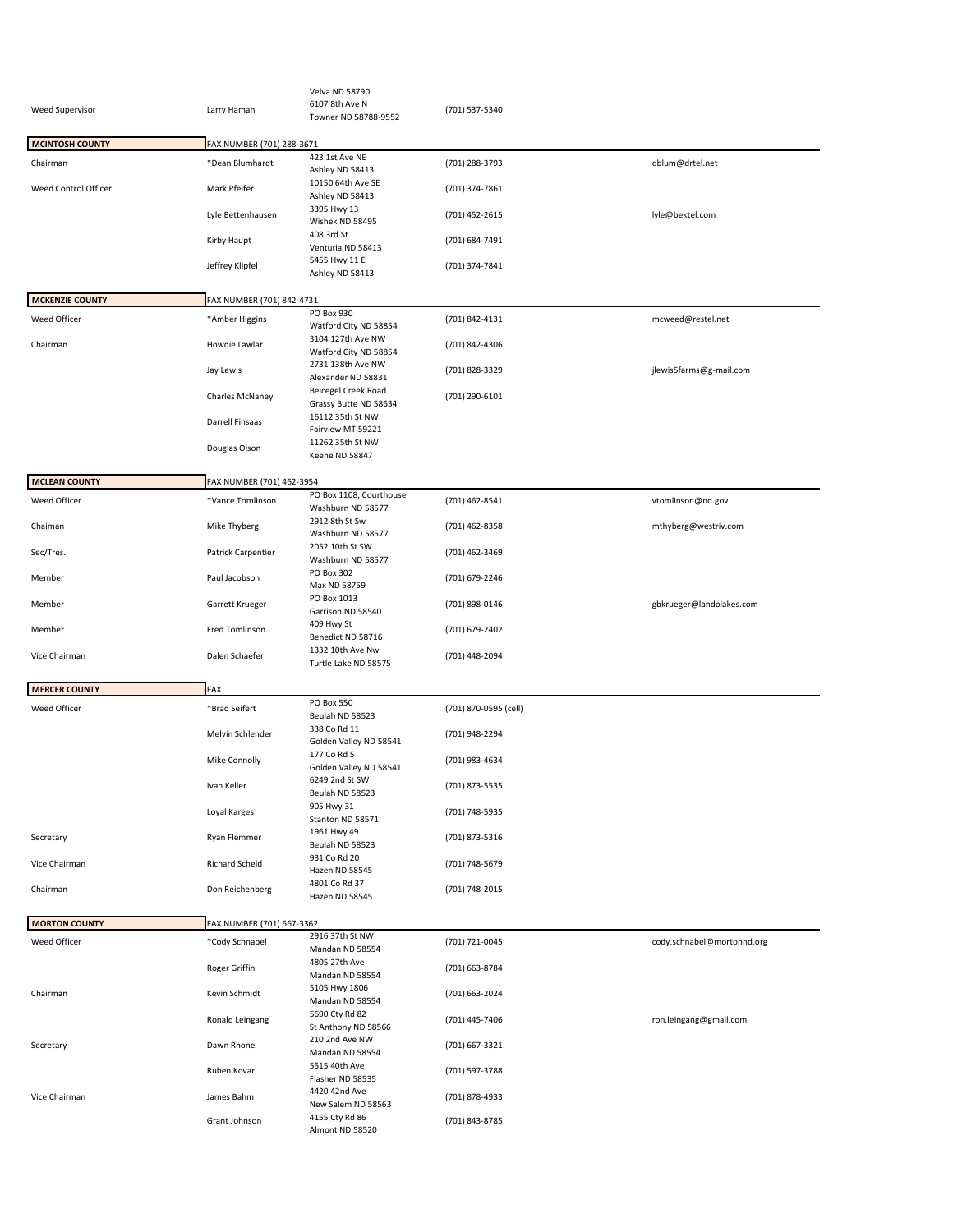|                        |                           | Velva ND 58790                    |                       |                            |
|------------------------|---------------------------|-----------------------------------|-----------------------|----------------------------|
| <b>Weed Supervisor</b> | Larry Haman               | 6107 8th Ave N                    | (701) 537-5340        |                            |
|                        |                           | Towner ND 58788-9552              |                       |                            |
|                        |                           |                                   |                       |                            |
| <b>MCINTOSH COUNTY</b> | FAX NUMBER (701) 288-3671 |                                   |                       |                            |
| Chairman               | *Dean Blumhardt           | 423 1st Ave NE                    | (701) 288-3793        | dblum@drtel.net            |
|                        |                           | Ashley ND 58413                   |                       |                            |
| Weed Control Officer   | Mark Pfeifer              | 10150 64th Ave SE                 | (701) 374-7861        |                            |
|                        |                           | Ashley ND 58413                   |                       |                            |
|                        | Lyle Bettenhausen         | 3395 Hwy 13                       | (701) 452-2615        | lyle@bektel.com            |
|                        |                           | Wishek ND 58495                   |                       |                            |
|                        | Kirby Haupt               | 408 3rd St.                       | (701) 684-7491        |                            |
|                        |                           | Venturia ND 58413                 |                       |                            |
|                        | Jeffrey Klipfel           | 5455 Hwy 11 E                     | (701) 374-7841        |                            |
|                        |                           | Ashley ND 58413                   |                       |                            |
|                        |                           |                                   |                       |                            |
| <b>MCKENZIE COUNTY</b> | FAX NUMBER (701) 842-4731 |                                   |                       |                            |
| Weed Officer           | *Amber Higgins            | PO Box 930                        | (701) 842-4131        | mcweed@restel.net          |
|                        |                           | Watford City ND 58854             |                       |                            |
| Chairman               | Howdie Lawlar             | 3104 127th Ave NW                 | (701) 842-4306        |                            |
|                        |                           | Watford City ND 58854             |                       |                            |
|                        | Jay Lewis                 | 2731 138th Ave NW                 | (701) 828-3329        | jlewis5farms@g-mail.com    |
|                        |                           | Alexander ND 58831                |                       |                            |
|                        | Charles McNaney           | Beicegel Creek Road               | (701) 290-6101        |                            |
|                        |                           | Grassy Butte ND 58634             |                       |                            |
|                        | Darrell Finsaas           | 16112 35th St NW                  |                       |                            |
|                        |                           | Fairview MT 59221                 |                       |                            |
|                        | Douglas Olson             | 11262 35th St NW                  |                       |                            |
|                        |                           | Keene ND 58847                    |                       |                            |
|                        |                           |                                   |                       |                            |
| <b>MCLEAN COUNTY</b>   | FAX NUMBER (701) 462-3954 |                                   |                       |                            |
| Weed Officer           | *Vance Tomlinson          | PO Box 1108, Courthouse           | (701) 462-8541        | vtomlinson@nd.gov          |
|                        |                           | Washburn ND 58577                 |                       |                            |
| Chaiman                | Mike Thyberg              | 2912 8th St Sw                    | (701) 462-8358        | mthyberg@westriv.com       |
|                        |                           | Washburn ND 58577                 |                       |                            |
| Sec/Tres.              | Patrick Carpentier        | 2052 10th St SW                   | (701) 462-3469        |                            |
|                        |                           | Washburn ND 58577                 |                       |                            |
| Member                 | Paul Jacobson             | PO Box 302                        | (701) 679-2246        |                            |
|                        |                           | Max ND 58759                      |                       |                            |
| Member                 | Garrett Krueger           | PO Box 1013                       | (701) 898-0146        | gbkrueger@landolakes.com   |
|                        |                           | Garrison ND 58540                 |                       |                            |
| Member                 | Fred Tomlinson            | 409 Hwy St                        | (701) 679-2402        |                            |
|                        |                           | Benedict ND 58716                 |                       |                            |
|                        |                           | 1332 10th Ave Nw                  | (701) 448-2094        |                            |
| Vice Chairman          | Dalen Schaefer            |                                   |                       |                            |
|                        |                           | Turtle Lake ND 58575              |                       |                            |
|                        |                           |                                   |                       |                            |
| <b>MERCER COUNTY</b>   | FAX                       |                                   |                       |                            |
| Weed Officer           | *Brad Seifert             | PO Box 550                        | (701) 870-0595 (cell) |                            |
|                        |                           | Beulah ND 58523                   |                       |                            |
|                        | Melvin Schlender          | 338 Co Rd 11                      | (701) 948-2294        |                            |
|                        |                           | Golden Valley ND 58541            |                       |                            |
|                        | Mike Connolly             | 177 Co Rd 5                       | (701) 983-4634        |                            |
|                        |                           | Golden Valley ND 58541            |                       |                            |
|                        | Ivan Keller               | 6249 2nd St SW                    |                       |                            |
|                        |                           | Beulah ND 58523                   | (701) 873-5535        |                            |
|                        | Loyal Karges              | 905 Hwy 31                        | (701) 748-5935        |                            |
|                        |                           | Stanton ND 58571                  |                       |                            |
| Secretary              | Ryan Flemmer              | 1961 Hwy 49                       | (701) 873-5316        |                            |
|                        |                           | Beulah ND 58523                   |                       |                            |
| Vice Chairman          | <b>Richard Scheid</b>     | 931 Co Rd 20                      | (701) 748-5679        |                            |
|                        |                           | Hazen ND 58545                    |                       |                            |
| Chairman               | Don Reichenberg           | 4801 Co Rd 37                     | (701) 748-2015        |                            |
|                        |                           | Hazen ND 58545                    |                       |                            |
|                        |                           |                                   |                       |                            |
| <b>MORTON COUNTY</b>   | FAX NUMBER (701) 667-3362 |                                   |                       |                            |
| Weed Officer           | *Cody Schnabel            | 2916 37th St NW                   | (701) 721-0045        | cody.schnabel@mortonnd.org |
|                        |                           | Mandan ND 58554                   |                       |                            |
|                        | Roger Griffin             | 4805 27th Ave                     | (701) 663-8784        |                            |
|                        |                           | Mandan ND 58554                   |                       |                            |
| Chairman               | Kevin Schmidt             | 5105 Hwy 1806                     | (701) 663-2024        |                            |
|                        |                           | Mandan ND 58554                   |                       |                            |
|                        | Ronald Leingang           | 5690 Cty Rd 82                    | (701) 445-7406        | ron.leingang@gmail.com     |
|                        |                           | St Anthony ND 58566               |                       |                            |
| Secretary              | Dawn Rhone                | 210 2nd Ave NW                    | (701) 667-3321        |                            |
|                        |                           | Mandan ND 58554                   |                       |                            |
|                        | Ruben Kovar               | 5515 40th Ave                     | (701) 597-3788        |                            |
|                        |                           | Flasher ND 58535                  |                       |                            |
| Vice Chairman          | James Bahm                | 4420 42nd Ave                     | (701) 878-4933        |                            |
|                        |                           | New Salem ND 58563                |                       |                            |
|                        | Grant Johnson             | 4155 Cty Rd 86<br>Almont ND 58520 | (701) 843-8785        |                            |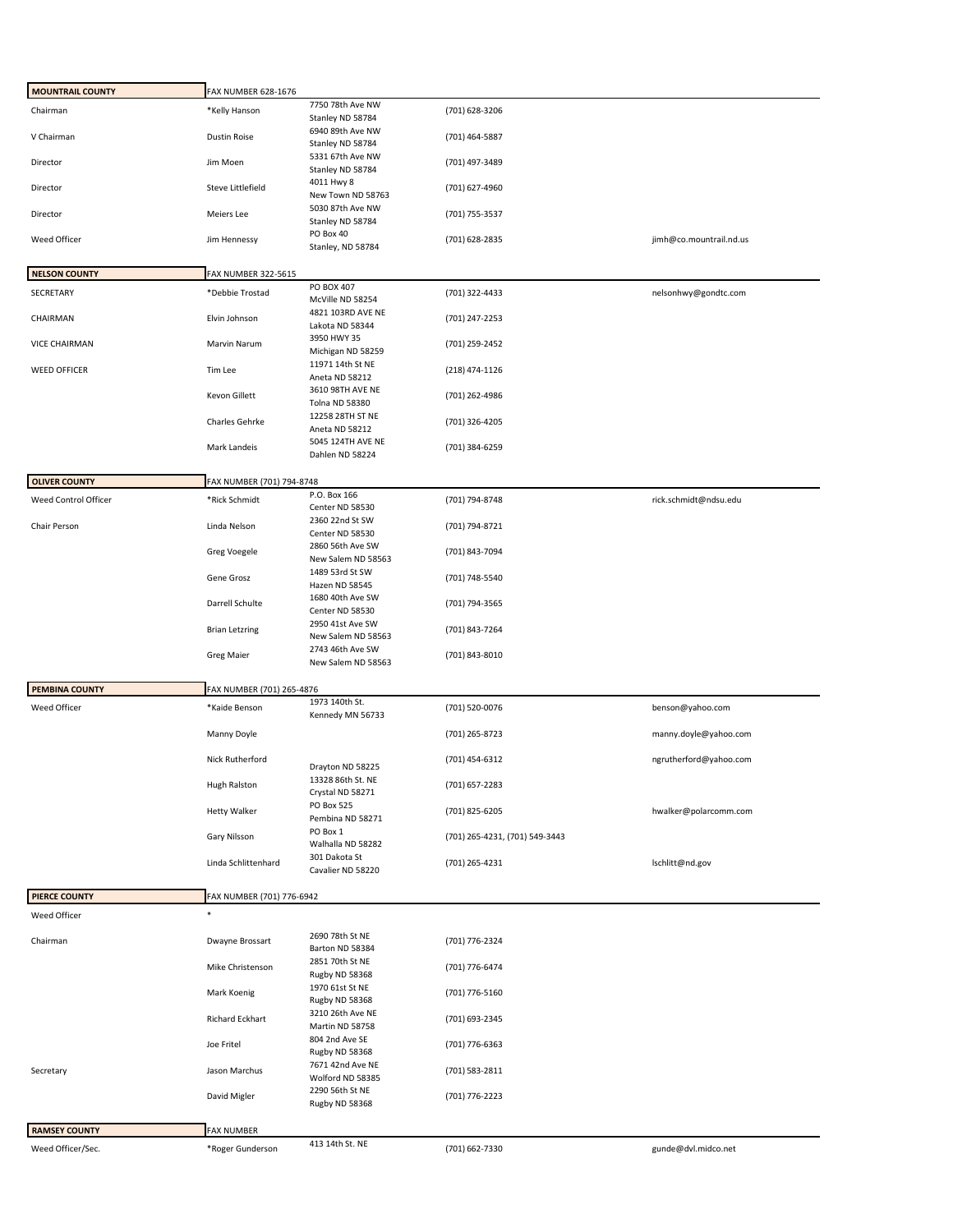| <b>MOUNTRAIL COUNTY</b> | FAX NUMBER 628-1676        |                                        |                                |                         |
|-------------------------|----------------------------|----------------------------------------|--------------------------------|-------------------------|
| Chairman                | *Kelly Hanson              | 7750 78th Ave NW<br>Stanley ND 58784   | (701) 628-3206                 |                         |
| V Chairman              | <b>Dustin Roise</b>        | 6940 89th Ave NW<br>Stanley ND 58784   | (701) 464-5887                 |                         |
| Director                | Jim Moen                   | 5331 67th Ave NW<br>Stanley ND 58784   | (701) 497-3489                 |                         |
| Director                | <b>Steve Littlefield</b>   | 4011 Hwy 8<br>New Town ND 58763        | (701) 627-4960                 |                         |
| Director                | Meiers Lee                 | 5030 87th Ave NW<br>Stanley ND 58784   | (701) 755-3537                 |                         |
| Weed Officer            | Jim Hennessy               | PO Box 40<br>Stanley, ND 58784         | (701) 628-2835                 | jimh@co.mountrail.nd.us |
|                         |                            |                                        |                                |                         |
| <b>NELSON COUNTY</b>    | <b>FAX NUMBER 322-5615</b> | PO BOX 407                             |                                |                         |
| SECRETARY               | *Debbie Trostad            | McVille ND 58254<br>4821 103RD AVE NE  | (701) 322-4433                 | nelsonhwy@gondtc.com    |
| CHAIRMAN                | Elvin Johnson              | Lakota ND 58344<br>3950 HWY 35         | (701) 247-2253                 |                         |
| VICE CHAIRMAN           | Marvin Narum               | Michigan ND 58259                      | (701) 259-2452                 |                         |
| <b>WEED OFFICER</b>     | Tim Lee                    | 11971 14th St NE<br>Aneta ND 58212     | (218) 474-1126                 |                         |
|                         | Kevon Gillett              | 3610 98TH AVE NE<br>Tolna ND 58380     | (701) 262-4986                 |                         |
|                         | Charles Gehrke             | 12258 28TH ST NE<br>Aneta ND 58212     | (701) 326-4205                 |                         |
|                         | Mark Landeis               | 5045 124TH AVE NE<br>Dahlen ND 58224   | (701) 384-6259                 |                         |
| <b>OLIVER COUNTY</b>    | FAX NUMBER (701) 794-8748  |                                        |                                |                         |
| Weed Control Officer    | *Rick Schmidt              | P.O. Box 166                           | (701) 794-8748                 | rick.schmidt@ndsu.edu   |
|                         |                            | Center ND 58530<br>2360 22nd St SW     |                                |                         |
| Chair Person            | Linda Nelson               | Center ND 58530<br>2860 56th Ave SW    | (701) 794-8721                 |                         |
|                         | Greg Voegele               | New Salem ND 58563<br>1489 53rd St SW  | (701) 843-7094                 |                         |
|                         | Gene Grosz                 | Hazen ND 58545                         | (701) 748-5540                 |                         |
|                         | Darrell Schulte            | 1680 40th Ave SW<br>Center ND 58530    | (701) 794-3565                 |                         |
|                         | <b>Brian Letzring</b>      | 2950 41st Ave SW<br>New Salem ND 58563 | (701) 843-7264                 |                         |
|                         | <b>Greg Maier</b>          | 2743 46th Ave SW<br>New Salem ND 58563 | (701) 843-8010                 |                         |
| <b>PEMBINA COUNTY</b>   | FAX NUMBER (701) 265-4876  |                                        |                                |                         |
| Weed Officer            | *Kaide Benson              | 1973 140th St.                         | (701) 520-0076                 | benson@yahoo.com        |
|                         | Manny Doyle                | Kennedy MN 56733                       | (701) 265-8723                 | manny.doyle@yahoo.com   |
|                         | Nick Rutherford            | Drayton ND 58225                       | (701) 454-6312                 | ngrutherford@yahoo.com  |
|                         | Hugh Ralston               | 13328 86th St. NE<br>Crystal ND 58271  | (701) 657-2283                 |                         |
|                         | <b>Hetty Walker</b>        | PO Box 525                             | (701) 825-6205                 | hwalker@polarcomm.com   |
|                         | Gary Nilsson               | Pembina ND 58271<br>PO Box 1           | (701) 265-4231, (701) 549-3443 |                         |
|                         |                            | Walhalla ND 58282<br>301 Dakota St     |                                |                         |
|                         | Linda Schlittenhard        | Cavalier ND 58220                      | (701) 265-4231                 | lschlitt@nd.gov         |
| <b>PIERCE COUNTY</b>    | FAX NUMBER (701) 776-6942  |                                        |                                |                         |
| Weed Officer            | $\ast$                     |                                        |                                |                         |
| Chairman                | Dwayne Brossart            | 2690 78th St NE<br>Barton ND 58384     | (701) 776-2324                 |                         |
|                         | Mike Christenson           | 2851 70th St NE<br>Rugby ND 58368      | (701) 776-6474                 |                         |
|                         | Mark Koenig                | 1970 61st St NE<br>Rugby ND 58368      | (701) 776-5160                 |                         |
|                         | Richard Eckhart            | 3210 26th Ave NE<br>Martin ND 58758    | (701) 693-2345                 |                         |
|                         | Joe Fritel                 | 804 2nd Ave SE<br>Rugby ND 58368       | (701) 776-6363                 |                         |
| Secretary               | Jason Marchus              | 7671 42nd Ave NE<br>Wolford ND 58385   | (701) 583-2811                 |                         |
|                         | David Migler               | 2290 56th St NE<br>Rugby ND 58368      | (701) 776-2223                 |                         |
|                         |                            |                                        |                                |                         |
| <b>RAMSEY COUNTY</b>    |                            |                                        |                                |                         |
|                         | <b>FAX NUMBER</b>          | 413 14th St. NE                        |                                |                         |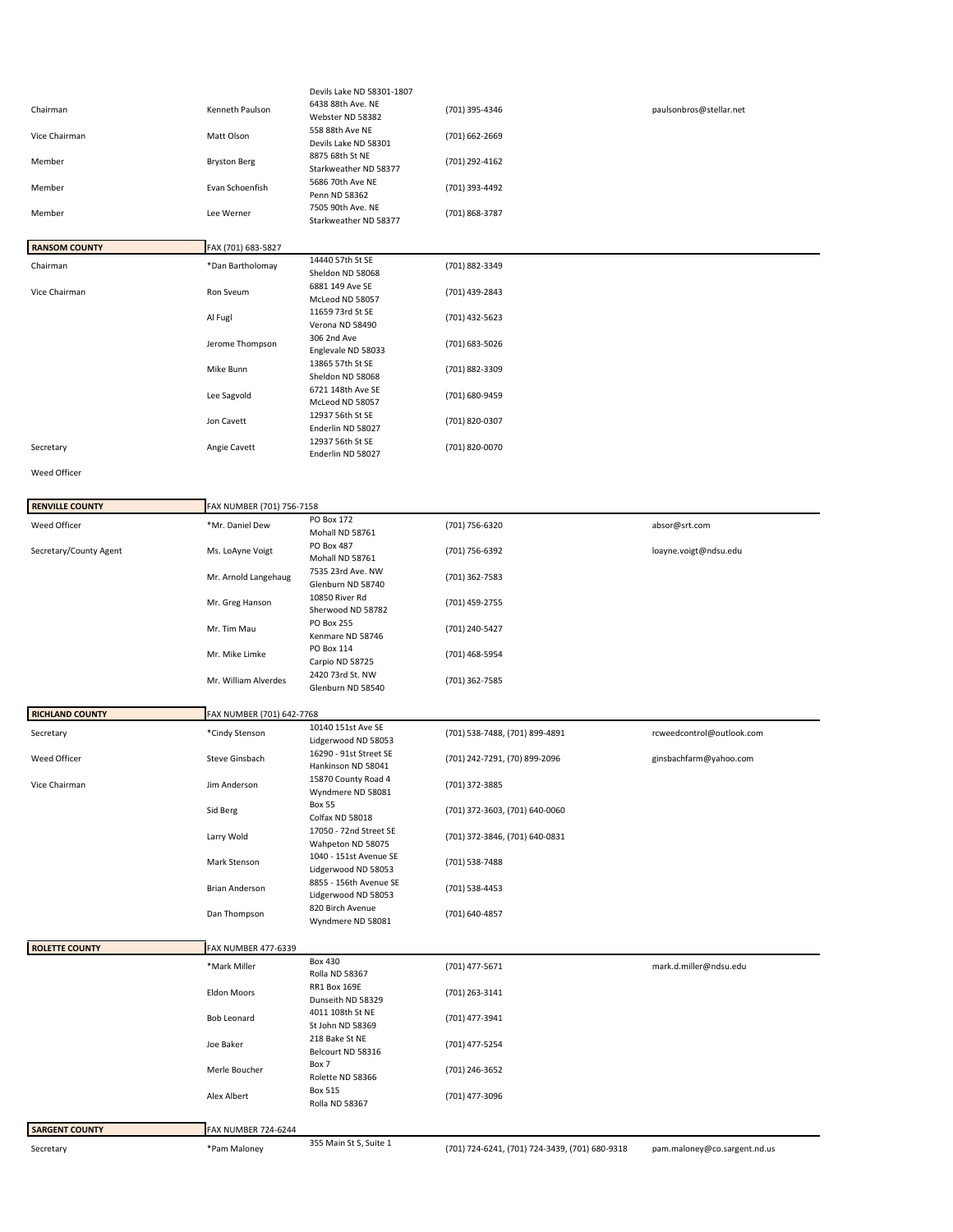|                        |                            | Devils Lake ND 58301-1807                     |                                                |                              |
|------------------------|----------------------------|-----------------------------------------------|------------------------------------------------|------------------------------|
| Chairman               | Kenneth Paulson            | 6438 88th Ave. NE                             | (701) 395-4346                                 | paulsonbros@stellar.net      |
|                        |                            | Webster ND 58382<br>558 88th Ave NE           |                                                |                              |
| Vice Chairman          | Matt Olson                 | Devils Lake ND 58301                          | (701) 662-2669                                 |                              |
| Member                 | <b>Bryston Berg</b>        | 8875 68th St NE<br>Starkweather ND 58377      | (701) 292-4162                                 |                              |
| Member                 | Evan Schoenfish            | 5686 70th Ave NE<br>Penn ND 58362             | (701) 393-4492                                 |                              |
| Member                 | Lee Werner                 | 7505 90th Ave. NE<br>Starkweather ND 58377    | (701) 868-3787                                 |                              |
| <b>RANSOM COUNTY</b>   | FAX (701) 683-5827         |                                               |                                                |                              |
|                        |                            | 14440 57th St SE                              |                                                |                              |
| Chairman               | *Dan Bartholomay           | Sheldon ND 58068<br>6881 149 Ave SE           | (701) 882-3349                                 |                              |
| Vice Chairman          | Ron Sveum                  | McLeod ND 58057<br>11659 73rd St SE           | (701) 439-2843                                 |                              |
|                        | Al Fugl                    | Verona ND 58490                               | (701) 432-5623                                 |                              |
|                        | Jerome Thompson            | 306 2nd Ave<br>Englevale ND 58033             | (701) 683-5026                                 |                              |
|                        | Mike Bunn                  | 13865 57th St SE<br>Sheldon ND 58068          | (701) 882-3309                                 |                              |
|                        | Lee Sagvold                | 6721 148th Ave SE<br>McLeod ND 58057          | (701) 680-9459                                 |                              |
|                        | Jon Cavett                 | 12937 56th St SE<br>Enderlin ND 58027         | (701) 820-0307                                 |                              |
| Secretary              | Angie Cavett               | 12937 56th St SE<br>Enderlin ND 58027         | (701) 820-0070                                 |                              |
| Weed Officer           |                            |                                               |                                                |                              |
|                        |                            |                                               |                                                |                              |
| <b>RENVILLE COUNTY</b> | FAX NUMBER (701) 756-7158  |                                               |                                                |                              |
| Weed Officer           | *Mr. Daniel Dew            | PO Box 172<br>Mohall ND 58761                 | (701) 756-6320                                 | absor@srt.com                |
| Secretary/County Agent | Ms. LoAyne Voigt           | PO Box 487<br>Mohall ND 58761                 | (701) 756-6392                                 | loayne.voigt@ndsu.edu        |
|                        | Mr. Arnold Langehaug       | 7535 23rd Ave. NW<br>Glenburn ND 58740        | (701) 362-7583                                 |                              |
|                        | Mr. Greg Hanson            | 10850 River Rd<br>Sherwood ND 58782           | (701) 459-2755                                 |                              |
|                        | Mr. Tim Mau                | PO Box 255<br>Kenmare ND 58746                | (701) 240-5427                                 |                              |
|                        | Mr. Mike Limke             | PO Box 114<br>Carpio ND 58725                 | (701) 468-5954                                 |                              |
|                        | Mr. William Alverdes       | 2420 73rd St. NW<br>Glenburn ND 58540         | (701) 362-7585                                 |                              |
|                        |                            |                                               |                                                |                              |
| <b>RICHLAND COUNTY</b> | FAX NUMBER (701) 642-7768  |                                               |                                                |                              |
| Secretary              | *Cindy Stenson             | 10140 151st Ave SE                            | (701) 538-7488, (701) 899-4891                 | rcweedcontrol@outlook.com    |
| Weed Officer           | Steve Ginsbach             | Lidgerwood ND 58053<br>16290 - 91st Street SE | (701) 242-7291, (70) 899-2096                  | ginsbachfarm@yahoo.com       |
| Vice Chairman          | Jim Anderson               | Hankinson ND 58041<br>15870 County Road 4     | (701) 372-3885                                 |                              |
|                        |                            | Wyndmere ND 58081<br><b>Box 55</b>            |                                                |                              |
|                        | Sid Berg                   | Colfax ND 58018                               | (701) 372-3603, (701) 640-0060                 |                              |
|                        | Larry Wold                 | 17050 - 72nd Street SE<br>Wahpeton ND 58075   | (701) 372-3846, (701) 640-0831                 |                              |
|                        | Mark Stenson               | 1040 - 151st Avenue SE<br>Lidgerwood ND 58053 | (701) 538-7488                                 |                              |
|                        | Brian Anderson             | 8855 - 156th Avenue SE                        | (701) 538-4453                                 |                              |
|                        |                            | Lidgerwood ND 58053                           |                                                |                              |
|                        | Dan Thompson               | 820 Birch Avenue<br>Wyndmere ND 58081         | (701) 640-4857                                 |                              |
| <b>ROLETTE COUNTY</b>  | FAX NUMBER 477-6339        |                                               |                                                |                              |
|                        |                            | <b>Box 430</b>                                |                                                |                              |
|                        | *Mark Miller               | Rolla ND 58367                                | (701) 477-5671                                 | mark.d.miller@ndsu.edu       |
|                        | Eldon Moors                | RR1 Box 169E<br>Dunseith ND 58329             | (701) 263-3141                                 |                              |
|                        | <b>Bob Leonard</b>         | 4011 108th St NE<br>St John ND 58369          | (701) 477-3941                                 |                              |
|                        | Joe Baker                  | 218 Bake St NE<br>Belcourt ND 58316           | (701) 477-5254                                 |                              |
|                        | Merle Boucher              | Box 7<br>Rolette ND 58366                     | (701) 246-3652                                 |                              |
|                        | Alex Albert                | Box 515<br>Rolla ND 58367                     | (701) 477-3096                                 |                              |
|                        |                            |                                               |                                                |                              |
| <b>SARGENT COUNTY</b>  | <b>FAX NUMBER 724-6244</b> |                                               |                                                |                              |
| Secretary              | *Pam Maloney               | 355 Main St S, Suite 1                        | (701) 724-6241, (701) 724-3439, (701) 680-9318 | pam.maloney@co.sargent.nd.us |
|                        |                            |                                               |                                                |                              |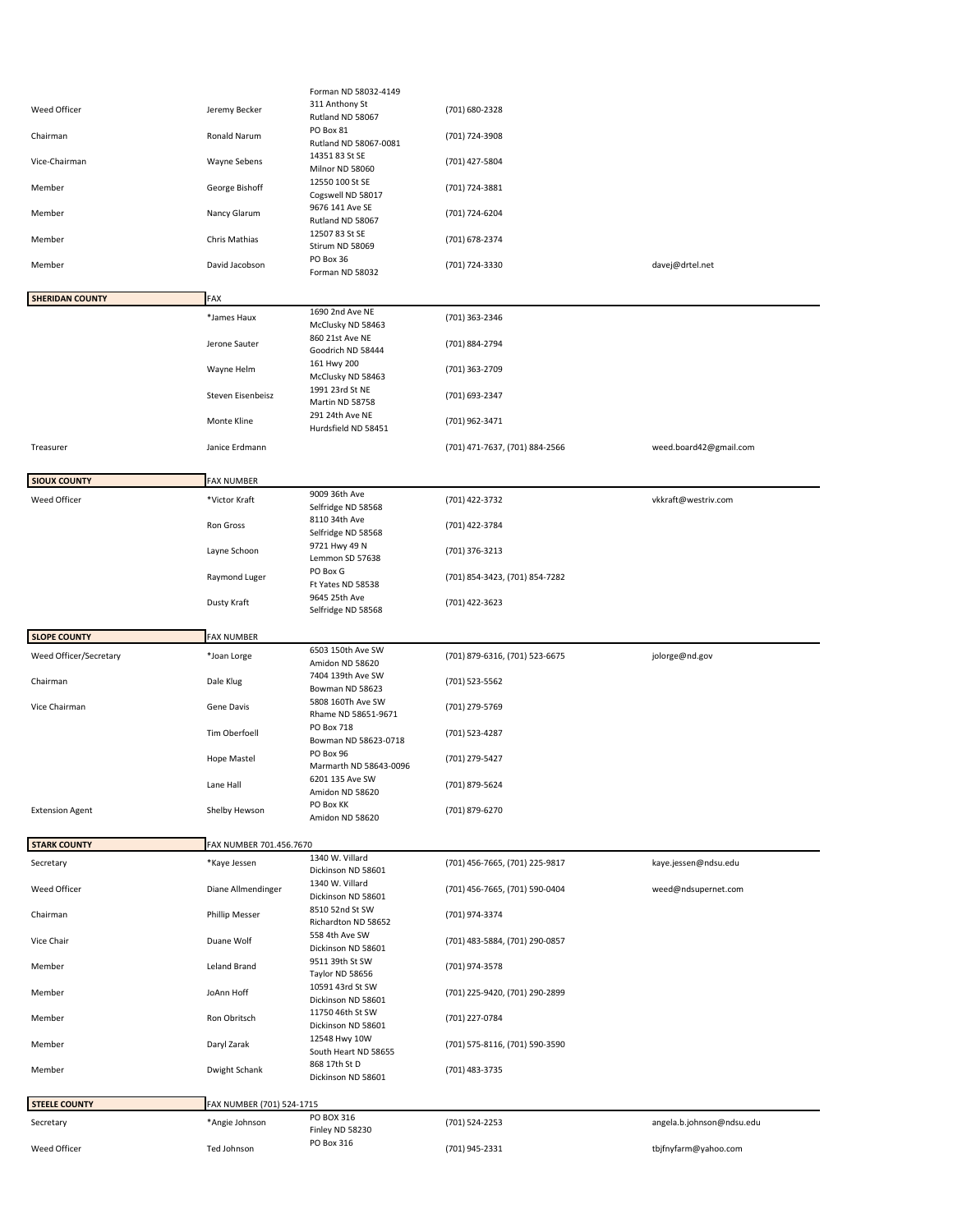|                                   |                                             | Forman ND 58032-4149                                        |                                |                           |
|-----------------------------------|---------------------------------------------|-------------------------------------------------------------|--------------------------------|---------------------------|
| Weed Officer                      | Jeremy Becker                               | 311 Anthony St<br>Rutland ND 58067                          | (701) 680-2328                 |                           |
| Chairman                          | Ronald Narum                                | PO Box 81<br>Rutland ND 58067-0081                          | (701) 724-3908                 |                           |
| Vice-Chairman                     | Wayne Sebens                                | 14351 83 St SE<br>Milnor ND 58060                           | (701) 427-5804                 |                           |
| Member                            | George Bishoff                              | 12550 100 St SE<br>Cogswell ND 58017                        | (701) 724-3881                 |                           |
| Member                            | Nancy Glarum                                | 9676 141 Ave SE<br>Rutland ND 58067                         | (701) 724-6204                 |                           |
| Member                            | Chris Mathias                               | 12507 83 St SE<br>Stirum ND 58069                           | (701) 678-2374                 |                           |
| Member                            | David Jacobson                              | PO Box 36<br>Forman ND 58032                                | (701) 724-3330                 | davej@drtel.net           |
| <b>SHERIDAN COUNTY</b>            | FAX                                         |                                                             |                                |                           |
|                                   | *James Haux                                 | 1690 2nd Ave NE                                             | (701) 363-2346                 |                           |
|                                   | Jerone Sauter                               | McClusky ND 58463<br>860 21st Ave NE                        | (701) 884-2794                 |                           |
|                                   | Wayne Helm                                  | Goodrich ND 58444<br>161 Hwy 200<br>McClusky ND 58463       | (701) 363-2709                 |                           |
|                                   | Steven Eisenbeisz                           | 1991 23rd St NE<br>Martin ND 58758                          | (701) 693-2347                 |                           |
|                                   | Monte Kline                                 | 291 24th Ave NE<br>Hurdsfield ND 58451                      | (701) 962-3471                 |                           |
| Treasurer                         | Janice Erdmann                              |                                                             | (701) 471-7637, (701) 884-2566 | weed.board42@gmail.com    |
| <b>SIOUX COUNTY</b>               | <b>FAX NUMBER</b>                           |                                                             |                                |                           |
| Weed Officer                      | *Victor Kraft                               | 9009 36th Ave                                               | (701) 422-3732                 | vkkraft@westriv.com       |
|                                   | Ron Gross                                   | Selfridge ND 58568<br>8110 34th Ave                         | (701) 422-3784                 |                           |
|                                   | Layne Schoon                                | Selfridge ND 58568<br>9721 Hwy 49 N<br>Lemmon SD 57638      | (701) 376-3213                 |                           |
|                                   | Raymond Luger                               | PO Box G<br>Ft Yates ND 58538                               | (701) 854-3423, (701) 854-7282 |                           |
|                                   | Dusty Kraft                                 | 9645 25th Ave<br>Selfridge ND 58568                         | (701) 422-3623                 |                           |
|                                   |                                             |                                                             |                                |                           |
|                                   |                                             |                                                             |                                |                           |
| <b>SLOPE COUNTY</b>               | <b>FAX NUMBER</b>                           | 6503 150th Ave SW                                           |                                |                           |
| Weed Officer/Secretary            | *Joan Lorge                                 | Amidon ND 58620                                             | (701) 879-6316, (701) 523-6675 | jolorge@nd.gov            |
| Chairman                          | Dale Klug                                   | 7404 139th Ave SW<br>Bowman ND 58623                        | (701) 523-5562                 |                           |
| Vice Chairman                     | Gene Davis                                  | 5808 160Th Ave SW<br>Rhame ND 58651-9671                    | (701) 279-5769                 |                           |
|                                   | Tim Oberfoell                               | PO Box 718<br>Bowman ND 58623-0718                          | (701) 523-4287                 |                           |
|                                   | <b>Hope Mastel</b>                          | PO Box 96<br>Marmarth ND 58643-0096                         | (701) 279-5427                 |                           |
|                                   | Lane Hall                                   | 6201 135 Ave SW<br>Amidon ND 58620                          | (701) 879-5624                 |                           |
| <b>Extension Agent</b>            | Shelby Hewson                               | PO Box KK<br>Amidon ND 58620                                | (701) 879-6270                 |                           |
| <b>STARK COUNTY</b>               | FAX NUMBER 701.456.7670                     |                                                             |                                |                           |
| Secretary                         | *Kaye Jessen                                | 1340 W. Villard                                             | (701) 456-7665, (701) 225-9817 | kaye.jessen@ndsu.edu      |
| Weed Officer                      | Diane Allmendinger                          | Dickinson ND 58601<br>1340 W. Villard<br>Dickinson ND 58601 | (701) 456-7665, (701) 590-0404 | weed@ndsupernet.com       |
| Chairman                          | <b>Phillip Messer</b>                       | 8510 52nd St SW<br>Richardton ND 58652                      | (701) 974-3374                 |                           |
| Vice Chair                        | Duane Wolf                                  | 558 4th Ave SW<br>Dickinson ND 58601                        | (701) 483-5884, (701) 290-0857 |                           |
| Member                            | Leland Brand                                | 9511 39th St SW<br>Taylor ND 58656                          | (701) 974-3578                 |                           |
| Member                            | JoAnn Hoff                                  | 10591 43rd St SW<br>Dickinson ND 58601                      | (701) 225-9420, (701) 290-2899 |                           |
| Member                            | Ron Obritsch                                | 11750 46th St SW<br>Dickinson ND 58601                      | (701) 227-0784                 |                           |
| Member                            | Daryl Zarak                                 | 12548 Hwy 10W<br>South Heart ND 58655                       | (701) 575-8116, (701) 590-3590 |                           |
| Member                            | Dwight Schank                               | 868 17th St D<br>Dickinson ND 58601                         | (701) 483-3735                 |                           |
|                                   |                                             |                                                             |                                |                           |
| <b>STEELE COUNTY</b><br>Secretary | FAX NUMBER (701) 524-1715<br>*Angie Johnson | PO BOX 316                                                  | (701) 524-2253                 | angela.b.johnson@ndsu.edu |
| Weed Officer                      | Ted Johnson                                 | Finley ND 58230<br>PO Box 316                               | (701) 945-2331                 | tbjfnyfarm@yahoo.com      |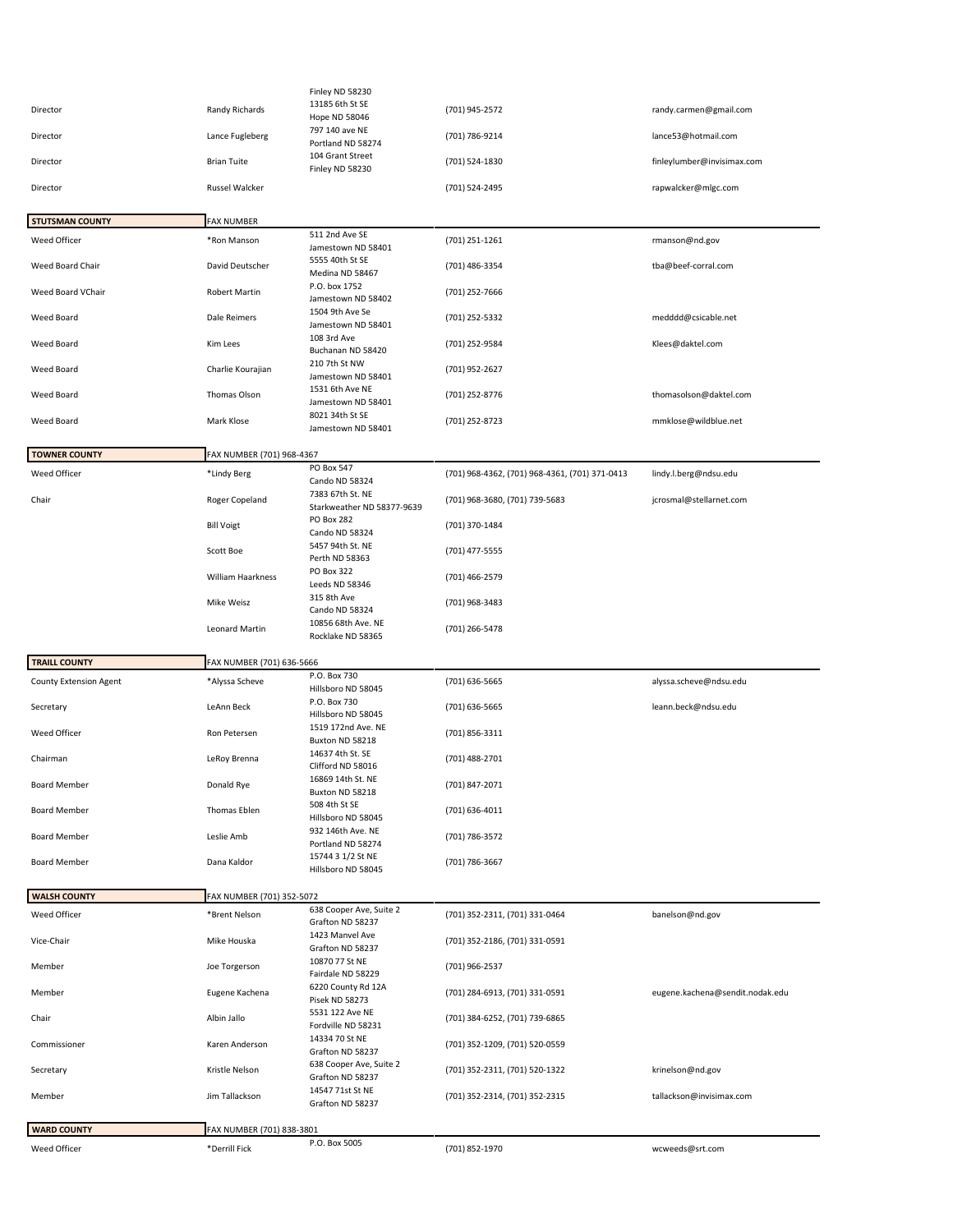|                                            | Finley ND 58230<br>13185 6th St SE                      |                                                                                                                                                                                                             |                                                  |
|--------------------------------------------|---------------------------------------------------------|-------------------------------------------------------------------------------------------------------------------------------------------------------------------------------------------------------------|--------------------------------------------------|
| Randy Richards                             | Hope ND 58046                                           | (701) 945-2572                                                                                                                                                                                              | randy.carmen@gmail.com                           |
| Lance Fugleberg                            | Portland ND 58274                                       | (701) 786-9214                                                                                                                                                                                              | lance53@hotmail.com                              |
| <b>Brian Tuite</b>                         | 104 Grant Street<br>Finley ND 58230                     | (701) 524-1830                                                                                                                                                                                              | finleylumber@invisimax.com                       |
| Russel Walcker                             |                                                         | (701) 524-2495                                                                                                                                                                                              | rapwalcker@mlgc.com                              |
| <b>FAX NUMBER</b>                          |                                                         |                                                                                                                                                                                                             |                                                  |
| *Ron Manson                                | 511 2nd Ave SE                                          | (701) 251-1261                                                                                                                                                                                              | rmanson@nd.gov                                   |
| David Deutscher                            | 5555 40th St SE                                         | (701) 486-3354                                                                                                                                                                                              | tba@beef-corral.com                              |
| <b>Robert Martin</b>                       | P.O. box 1752                                           | (701) 252-7666                                                                                                                                                                                              |                                                  |
| Dale Reimers                               | 1504 9th Ave Se                                         | (701) 252-5332                                                                                                                                                                                              | medddd@csicable.net                              |
| Kim Lees                                   | 108 3rd Ave<br>Buchanan ND 58420                        | (701) 252-9584                                                                                                                                                                                              | Klees@daktel.com                                 |
| Charlie Kourajian                          | 210 7th St NW<br>Jamestown ND 58401                     | (701) 952-2627                                                                                                                                                                                              |                                                  |
| Thomas Olson                               | 1531 6th Ave NE<br>Jamestown ND 58401                   | (701) 252-8776                                                                                                                                                                                              | thomasolson@daktel.com                           |
| Mark Klose                                 | 8021 34th St SE<br>Jamestown ND 58401                   | (701) 252-8723                                                                                                                                                                                              | mmklose@wildblue.net                             |
|                                            |                                                         |                                                                                                                                                                                                             |                                                  |
| *Lindy Berg                                | PO Box 547                                              | (701) 968-4362, (701) 968-4361, (701) 371-0413                                                                                                                                                              | lindy.l.berg@ndsu.edu                            |
|                                            | Cando ND 58324<br>7383 67th St. NE                      |                                                                                                                                                                                                             | jcrosmal@stellarnet.com                          |
|                                            | Starkweather ND 58377-9639<br>PO Box 282                |                                                                                                                                                                                                             |                                                  |
| Scott Boe                                  | Cando ND 58324<br>5457 94th St. NE                      | (701) 477-5555                                                                                                                                                                                              |                                                  |
| William Haarkness                          | PO Box 322                                              | (701) 466-2579                                                                                                                                                                                              |                                                  |
| Mike Weisz                                 | 315 8th Ave                                             | (701) 968-3483                                                                                                                                                                                              |                                                  |
| Leonard Martin                             | 10856 68th Ave. NE                                      | (701) 266-5478                                                                                                                                                                                              |                                                  |
|                                            |                                                         |                                                                                                                                                                                                             |                                                  |
|                                            |                                                         |                                                                                                                                                                                                             |                                                  |
| FAX NUMBER (701) 636-5666                  |                                                         |                                                                                                                                                                                                             |                                                  |
| *Alyssa Scheve                             | P.O. Box 730<br>Hillsboro ND 58045                      | (701) 636-5665                                                                                                                                                                                              | alyssa.scheve@ndsu.edu                           |
| LeAnn Beck                                 | P.O. Box 730<br>Hillsboro ND 58045                      | (701) 636-5665                                                                                                                                                                                              | leann.beck@ndsu.edu                              |
| Ron Petersen                               | 1519 172nd Ave. NE<br>Buxton ND 58218                   | (701) 856-3311                                                                                                                                                                                              |                                                  |
| LeRoy Brenna                               | 14637 4th St. SE<br>Clifford ND 58016                   | (701) 488-2701                                                                                                                                                                                              |                                                  |
| Donald Rye                                 | 16869 14th St. NE<br>Buxton ND 58218                    | (701) 847-2071                                                                                                                                                                                              |                                                  |
| Thomas Eblen                               | 508 4th St SE<br>Hillsboro ND 58045                     | (701) 636-4011                                                                                                                                                                                              |                                                  |
| Leslie Amb                                 | 932 146th Ave. NE<br>Portland ND 58274                  | (701) 786-3572                                                                                                                                                                                              |                                                  |
| Dana Kaldor                                | 15744 3 1/2 St NE<br>Hillsboro ND 58045                 | (701) 786-3667                                                                                                                                                                                              |                                                  |
|                                            |                                                         |                                                                                                                                                                                                             |                                                  |
| FAX NUMBER (701) 352-5072<br>*Brent Nelson | 638 Cooper Ave, Suite 2                                 | (701) 352-2311, (701) 331-0464                                                                                                                                                                              | banelson@nd.gov                                  |
| Mike Houska                                | Grafton ND 58237<br>1423 Manvel Ave<br>Grafton ND 58237 | (701) 352-2186, (701) 331-0591                                                                                                                                                                              |                                                  |
| Joe Torgerson                              | 10870 77 St NE<br>Fairdale ND 58229                     | (701) 966-2537                                                                                                                                                                                              |                                                  |
| Eugene Kachena                             | 6220 County Rd 12A<br>Pisek ND 58273                    | (701) 284-6913, (701) 331-0591                                                                                                                                                                              | eugene.kachena@sendit.nodak.edu                  |
| Albin Jallo                                | 5531 122 Ave NE<br>Fordville ND 58231                   | (701) 384-6252, (701) 739-6865                                                                                                                                                                              |                                                  |
| Karen Anderson                             | 14334 70 St NE<br>Grafton ND 58237                      | (701) 352-1209, (701) 520-0559                                                                                                                                                                              |                                                  |
| Kristle Nelson                             | 638 Cooper Ave, Suite 2<br>Grafton ND 58237             | (701) 352-2311, (701) 520-1322                                                                                                                                                                              | krinelson@nd.gov                                 |
| Jim Tallackson                             | 14547 71st St NE<br>Grafton ND 58237                    | (701) 352-2314, (701) 352-2315                                                                                                                                                                              | tallackson@invisimax.com                         |
| FAX NUMBER (701) 838-3801                  |                                                         |                                                                                                                                                                                                             |                                                  |
|                                            | Roger Copeland<br><b>Bill Voigt</b>                     | 797 140 ave NE<br>Jamestown ND 58401<br>Medina ND 58467<br>Jamestown ND 58402<br>Jamestown ND 58401<br>FAX NUMBER (701) 968-4367<br>Perth ND 58363<br>Leeds ND 58346<br>Cando ND 58324<br>Rocklake ND 58365 | (701) 968-3680, (701) 739-5683<br>(701) 370-1484 |